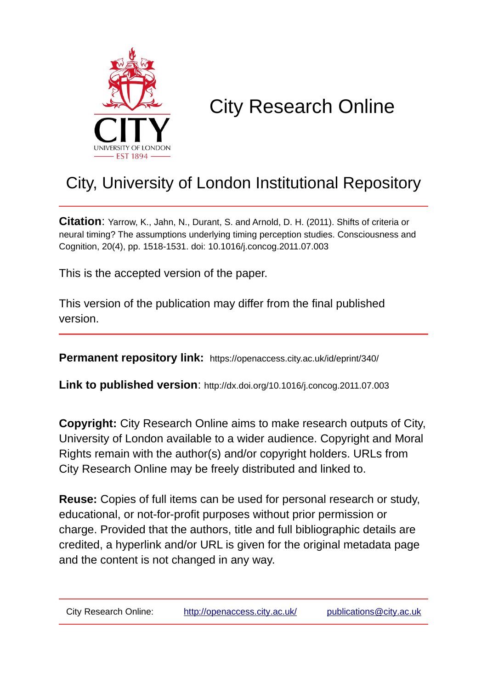

# City Research Online

# City, University of London Institutional Repository

**Citation**: Yarrow, K., Jahn, N., Durant, S. and Arnold, D. H. (2011). Shifts of criteria or neural timing? The assumptions underlying timing perception studies. Consciousness and Cognition, 20(4), pp. 1518-1531. doi: 10.1016/j.concog.2011.07.003

This is the accepted version of the paper.

This version of the publication may differ from the final published version.

**Permanent repository link:** https://openaccess.city.ac.uk/id/eprint/340/

**Link to published version**: http://dx.doi.org/10.1016/j.concog.2011.07.003

**Copyright:** City Research Online aims to make research outputs of City, University of London available to a wider audience. Copyright and Moral Rights remain with the author(s) and/or copyright holders. URLs from City Research Online may be freely distributed and linked to.

**Reuse:** Copies of full items can be used for personal research or study, educational, or not-for-profit purposes without prior permission or charge. Provided that the authors, title and full bibliographic details are credited, a hyperlink and/or URL is given for the original metadata page and the content is not changed in any way.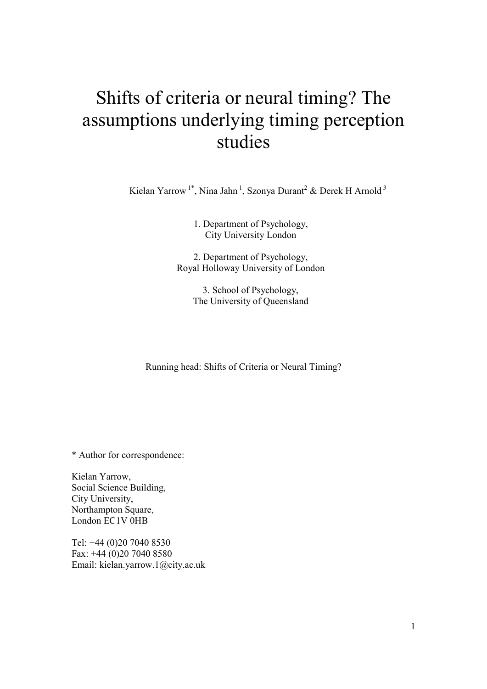# Shifts of criteria or neural timing? The assumptions underlying timing perception studies

Kielan Yarrow<sup>1\*</sup>, Nina Jahn<sup>1</sup>, Szonya Durant<sup>2</sup> & Derek H Arnold<sup>3</sup>

1. Department of Psychology, City University London

2. Department of Psychology, Royal Holloway University of London

> 3. School of Psychology, The University of Queensland

Running head: Shifts of Criteria or Neural Timing?

\* Author for correspondence:

Kielan Yarrow, Social Science Building, City University, Northampton Square, London EC1V 0HB

Tel: +44 (0)20 7040 8530 Fax: +44 (0)20 7040 8580 Email: kielan.yarrow.1@city.ac.uk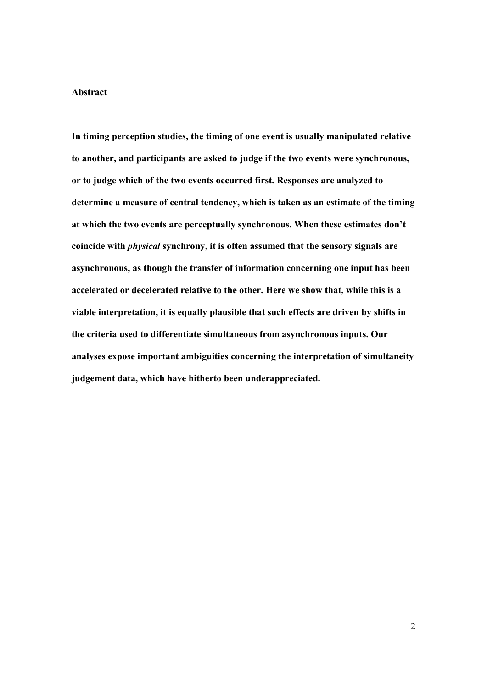#### **Abstract**

**In timing perception studies, the timing of one event is usually manipulated relative to another, and participants are asked to judge if the two events were synchronous, or to judge which of the two events occurred first. Responses are analyzed to determine a measure of central tendency, which is taken as an estimate of the timing at which the two events are perceptually synchronous. When these estimates don't coincide with** *physical* **synchrony, it is often assumed that the sensory signals are asynchronous, as though the transfer of information concerning one input has been accelerated or decelerated relative to the other. Here we show that, while this is a viable interpretation, it is equally plausible that such effects are driven by shifts in the criteria used to differentiate simultaneous from asynchronous inputs. Our analyses expose important ambiguities concerning the interpretation of simultaneity judgement data, which have hitherto been underappreciated.**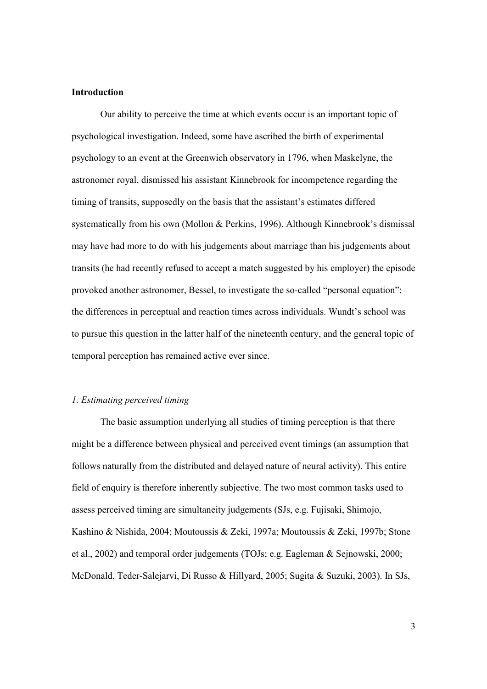#### **Introduction**

Our ability to perceive the time at which events occur is an important topic of psychological investigation. Indeed, some have ascribed the birth of experimental psychology to an event at the Greenwich observatory in 1796, when Maskelyne, the astronomer royal, dismissed his assistant Kinnebrook for incompetence regarding the timing of transits, supposedly on the basis that the assistant's estimates differed systematically from his own (Mollon & Perkins, 1996). Although Kinnebrook's dismissal may have had more to do with his judgements about marriage than his judgements about transits (he had recently refused to accept a match suggested by his employer) the episode provoked another astronomer, Bessel, to investigate the so-called "personal equation": the differences in perceptual and reaction times across individuals. Wundt's school was to pursue this question in the latter half of the nineteenth century, and the general topic of temporal perception has remained active ever since.

#### *1. Estimating perceived timing*

 The basic assumption underlying all studies of timing perception is that there might be a difference between physical and perceived event timings (an assumption that follows naturally from the distributed and delayed nature of neural activity). This entire field of enquiry is therefore inherently subjective. The two most common tasks used to assess perceived timing are simultaneity judgements (SJs, e.g. Fujisaki, Shimojo, Kashino & Nishida, 2004; Moutoussis & Zeki, 1997a; Moutoussis & Zeki, 1997b; Stone et al., 2002) and temporal order judgements (TOJs; e.g. Eagleman & Sejnowski, 2000; McDonald, Teder-Salejarvi, Di Russo & Hillyard, 2005; Sugita & Suzuki, 2003). In SJs,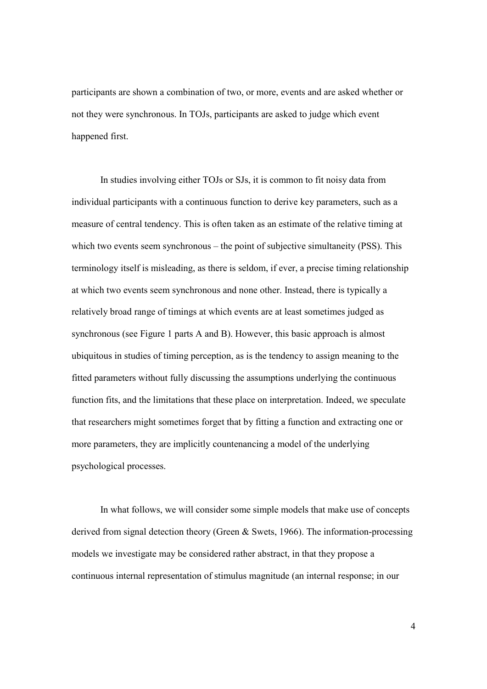participants are shown a combination of two, or more, events and are asked whether or not they were synchronous. In TOJs, participants are asked to judge which event happened first.

In studies involving either TOJs or SJs, it is common to fit noisy data from individual participants with a continuous function to derive key parameters, such as a measure of central tendency. This is often taken as an estimate of the relative timing at which two events seem synchronous – the point of subjective simultaneity (PSS). This terminology itself is misleading, as there is seldom, if ever, a precise timing relationship at which two events seem synchronous and none other. Instead, there is typically a relatively broad range of timings at which events are at least sometimes judged as synchronous (see Figure 1 parts A and B). However, this basic approach is almost ubiquitous in studies of timing perception, as is the tendency to assign meaning to the fitted parameters without fully discussing the assumptions underlying the continuous function fits, and the limitations that these place on interpretation. Indeed, we speculate that researchers might sometimes forget that by fitting a function and extracting one or more parameters, they are implicitly countenancing a model of the underlying psychological processes.

In what follows, we will consider some simple models that make use of concepts derived from signal detection theory (Green & Swets, 1966). The information-processing models we investigate may be considered rather abstract, in that they propose a continuous internal representation of stimulus magnitude (an internal response; in our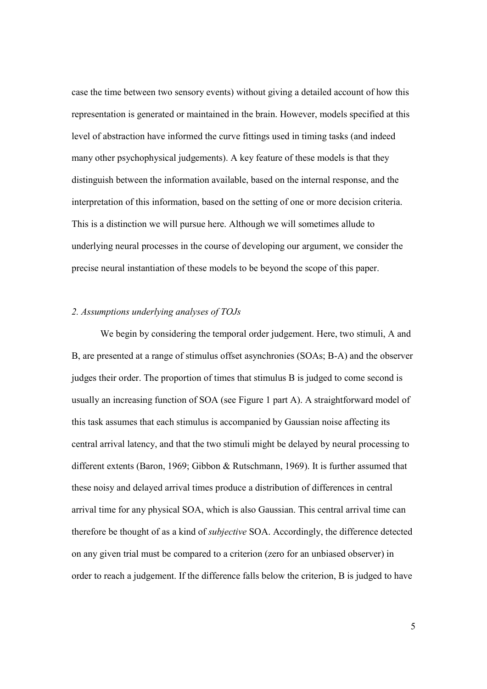case the time between two sensory events) without giving a detailed account of how this representation is generated or maintained in the brain. However, models specified at this level of abstraction have informed the curve fittings used in timing tasks (and indeed many other psychophysical judgements). A key feature of these models is that they distinguish between the information available, based on the internal response, and the interpretation of this information, based on the setting of one or more decision criteria. This is a distinction we will pursue here. Although we will sometimes allude to underlying neural processes in the course of developing our argument, we consider the precise neural instantiation of these models to be beyond the scope of this paper.

#### *2. Assumptions underlying analyses of TOJs*

 We begin by considering the temporal order judgement. Here, two stimuli, A and B, are presented at a range of stimulus offset asynchronies (SOAs; B-A) and the observer judges their order. The proportion of times that stimulus B is judged to come second is usually an increasing function of SOA (see Figure 1 part A). A straightforward model of this task assumes that each stimulus is accompanied by Gaussian noise affecting its central arrival latency, and that the two stimuli might be delayed by neural processing to different extents (Baron, 1969; Gibbon & Rutschmann, 1969). It is further assumed that these noisy and delayed arrival times produce a distribution of differences in central arrival time for any physical SOA, which is also Gaussian. This central arrival time can therefore be thought of as a kind of *subjective* SOA. Accordingly, the difference detected on any given trial must be compared to a criterion (zero for an unbiased observer) in order to reach a judgement. If the difference falls below the criterion, B is judged to have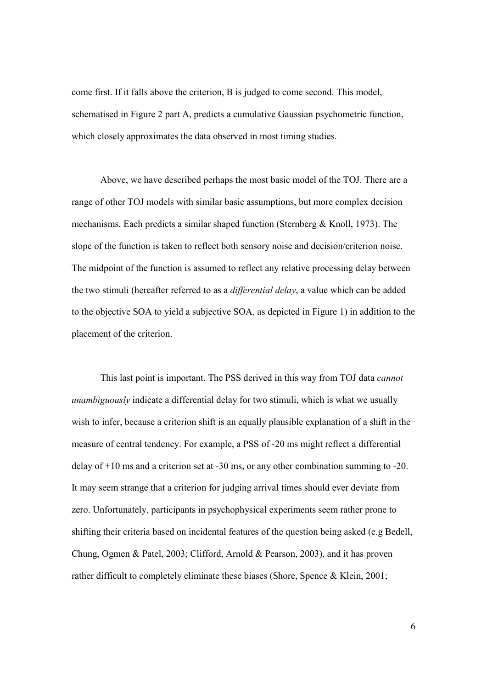come first. If it falls above the criterion, B is judged to come second. This model, schematised in Figure 2 part A, predicts a cumulative Gaussian psychometric function, which closely approximates the data observed in most timing studies.

Above, we have described perhaps the most basic model of the TOJ. There are a range of other TOJ models with similar basic assumptions, but more complex decision mechanisms. Each predicts a similar shaped function (Sternberg & Knoll, 1973). The slope of the function is taken to reflect both sensory noise and decision/criterion noise. The midpoint of the function is assumed to reflect any relative processing delay between the two stimuli (hereafter referred to as a *differential delay*, a value which can be added to the objective SOA to yield a subjective SOA, as depicted in Figure 1) in addition to the placement of the criterion.

This last point is important. The PSS derived in this way from TOJ data *cannot unambiguously* indicate a differential delay for two stimuli, which is what we usually wish to infer, because a criterion shift is an equally plausible explanation of a shift in the measure of central tendency. For example, a PSS of -20 ms might reflect a differential delay of +10 ms and a criterion set at -30 ms, or any other combination summing to -20. It may seem strange that a criterion for judging arrival times should ever deviate from zero. Unfortunately, participants in psychophysical experiments seem rather prone to shifting their criteria based on incidental features of the question being asked (e.g Bedell, Chung, Ogmen & Patel, 2003; Clifford, Arnold & Pearson, 2003), and it has proven rather difficult to completely eliminate these biases (Shore, Spence & Klein, 2001;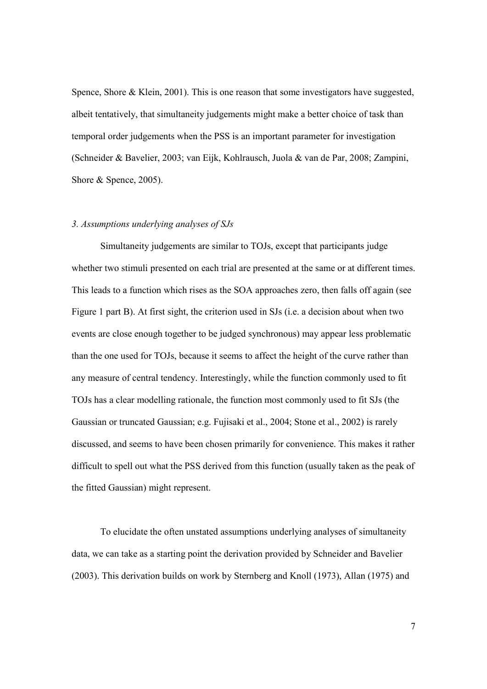Spence, Shore & Klein, 2001). This is one reason that some investigators have suggested, albeit tentatively, that simultaneity judgements might make a better choice of task than temporal order judgements when the PSS is an important parameter for investigation (Schneider & Bavelier, 2003; van Eijk, Kohlrausch, Juola & van de Par, 2008; Zampini, Shore & Spence, 2005).

#### *3. Assumptions underlying analyses of SJs*

Simultaneity judgements are similar to TOJs, except that participants judge whether two stimuli presented on each trial are presented at the same or at different times. This leads to a function which rises as the SOA approaches zero, then falls off again (see Figure 1 part B). At first sight, the criterion used in SJs (i.e. a decision about when two events are close enough together to be judged synchronous) may appear less problematic than the one used for TOJs, because it seems to affect the height of the curve rather than any measure of central tendency. Interestingly, while the function commonly used to fit TOJs has a clear modelling rationale, the function most commonly used to fit SJs (the Gaussian or truncated Gaussian; e.g. Fujisaki et al., 2004; Stone et al., 2002) is rarely discussed, and seems to have been chosen primarily for convenience. This makes it rather difficult to spell out what the PSS derived from this function (usually taken as the peak of the fitted Gaussian) might represent.

To elucidate the often unstated assumptions underlying analyses of simultaneity data, we can take as a starting point the derivation provided by Schneider and Bavelier (2003). This derivation builds on work by Sternberg and Knoll (1973), Allan (1975) and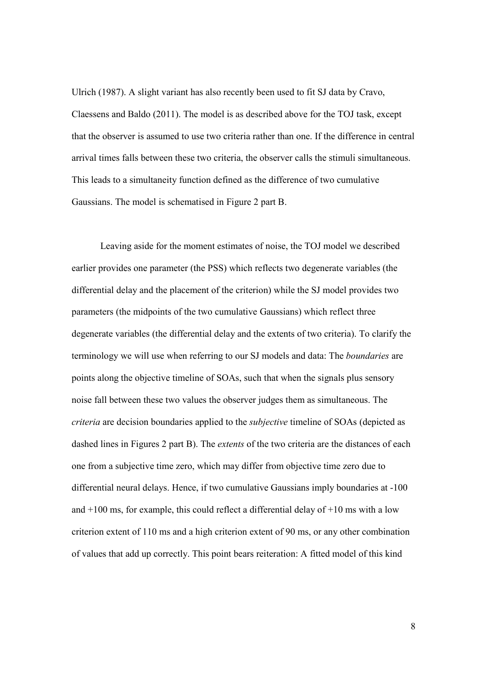Ulrich (1987). A slight variant has also recently been used to fit SJ data by Cravo, Claessens and Baldo (2011). The model is as described above for the TOJ task, except that the observer is assumed to use two criteria rather than one. If the difference in central arrival times falls between these two criteria, the observer calls the stimuli simultaneous. This leads to a simultaneity function defined as the difference of two cumulative Gaussians. The model is schematised in Figure 2 part B.

Leaving aside for the moment estimates of noise, the TOJ model we described earlier provides one parameter (the PSS) which reflects two degenerate variables (the differential delay and the placement of the criterion) while the SJ model provides two parameters (the midpoints of the two cumulative Gaussians) which reflect three degenerate variables (the differential delay and the extents of two criteria). To clarify the terminology we will use when referring to our SJ models and data: The *boundaries* are points along the objective timeline of SOAs, such that when the signals plus sensory noise fall between these two values the observer judges them as simultaneous. The *criteria* are decision boundaries applied to the *subjective* timeline of SOAs (depicted as dashed lines in Figures 2 part B). The *extents* of the two criteria are the distances of each one from a subjective time zero, which may differ from objective time zero due to differential neural delays. Hence, if two cumulative Gaussians imply boundaries at -100 and  $+100$  ms, for example, this could reflect a differential delay of  $+10$  ms with a low criterion extent of 110 ms and a high criterion extent of 90 ms, or any other combination of values that add up correctly. This point bears reiteration: A fitted model of this kind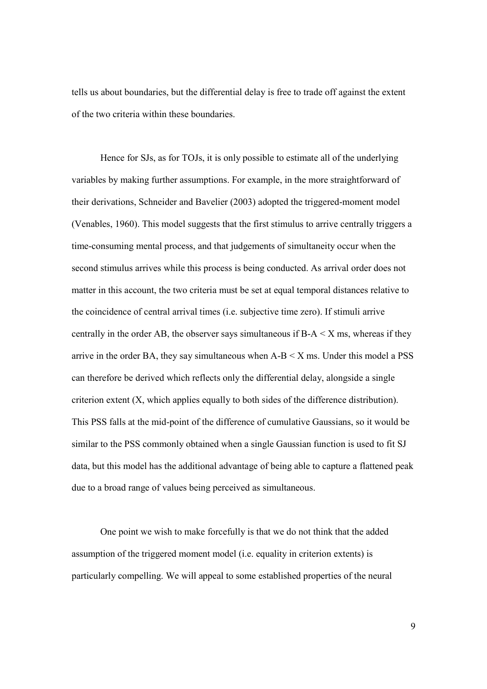tells us about boundaries, but the differential delay is free to trade off against the extent of the two criteria within these boundaries.

Hence for SJs, as for TOJs, it is only possible to estimate all of the underlying variables by making further assumptions. For example, in the more straightforward of their derivations, Schneider and Bavelier (2003) adopted the triggered-moment model (Venables, 1960). This model suggests that the first stimulus to arrive centrally triggers a time-consuming mental process, and that judgements of simultaneity occur when the second stimulus arrives while this process is being conducted. As arrival order does not matter in this account, the two criteria must be set at equal temporal distances relative to the coincidence of central arrival times (i.e. subjective time zero). If stimuli arrive centrally in the order AB, the observer says simultaneous if  $B-A \leq X$  ms, whereas if they arrive in the order BA, they say simultaneous when  $A-B < X$  ms. Under this model a PSS can therefore be derived which reflects only the differential delay, alongside a single criterion extent (X, which applies equally to both sides of the difference distribution). This PSS falls at the mid-point of the difference of cumulative Gaussians, so it would be similar to the PSS commonly obtained when a single Gaussian function is used to fit SJ data, but this model has the additional advantage of being able to capture a flattened peak due to a broad range of values being perceived as simultaneous.

One point we wish to make forcefully is that we do not think that the added assumption of the triggered moment model (i.e. equality in criterion extents) is particularly compelling. We will appeal to some established properties of the neural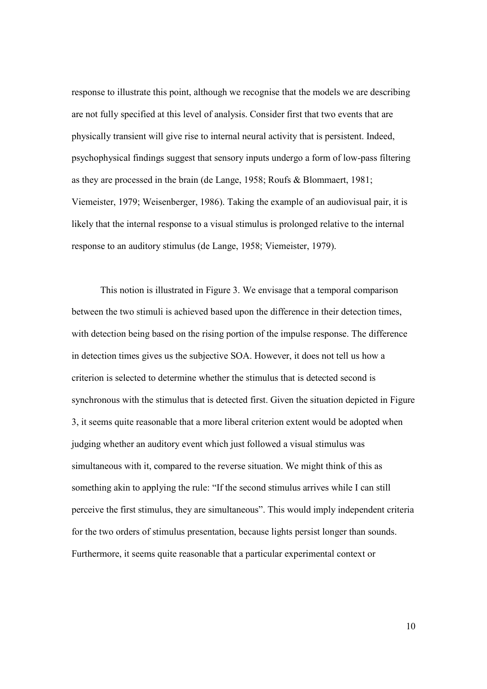response to illustrate this point, although we recognise that the models we are describing are not fully specified at this level of analysis. Consider first that two events that are physically transient will give rise to internal neural activity that is persistent. Indeed, psychophysical findings suggest that sensory inputs undergo a form of low-pass filtering as they are processed in the brain (de Lange, 1958; Roufs & Blommaert, 1981; Viemeister, 1979; Weisenberger, 1986). Taking the example of an audiovisual pair, it is likely that the internal response to a visual stimulus is prolonged relative to the internal response to an auditory stimulus (de Lange, 1958; Viemeister, 1979).

This notion is illustrated in Figure 3. We envisage that a temporal comparison between the two stimuli is achieved based upon the difference in their detection times, with detection being based on the rising portion of the impulse response. The difference in detection times gives us the subjective SOA. However, it does not tell us how a criterion is selected to determine whether the stimulus that is detected second is synchronous with the stimulus that is detected first. Given the situation depicted in Figure 3, it seems quite reasonable that a more liberal criterion extent would be adopted when judging whether an auditory event which just followed a visual stimulus was simultaneous with it, compared to the reverse situation. We might think of this as something akin to applying the rule: "If the second stimulus arrives while I can still perceive the first stimulus, they are simultaneous". This would imply independent criteria for the two orders of stimulus presentation, because lights persist longer than sounds. Furthermore, it seems quite reasonable that a particular experimental context or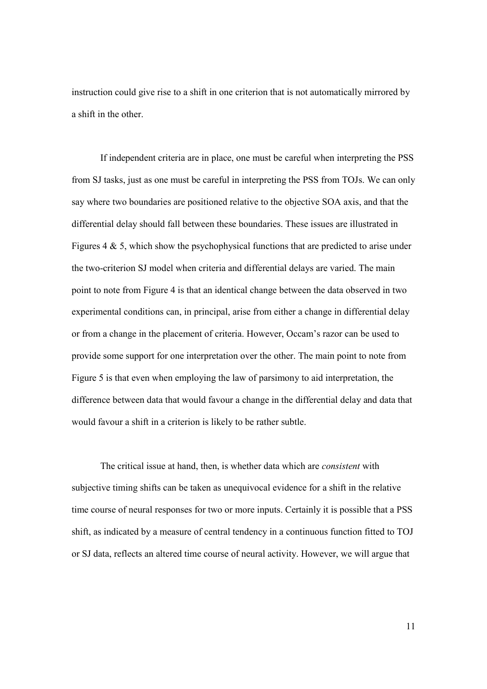instruction could give rise to a shift in one criterion that is not automatically mirrored by a shift in the other.

If independent criteria are in place, one must be careful when interpreting the PSS from SJ tasks, just as one must be careful in interpreting the PSS from TOJs. We can only say where two boundaries are positioned relative to the objective SOA axis, and that the differential delay should fall between these boundaries. These issues are illustrated in Figures 4  $\&$  5, which show the psychophysical functions that are predicted to arise under the two-criterion SJ model when criteria and differential delays are varied. The main point to note from Figure 4 is that an identical change between the data observed in two experimental conditions can, in principal, arise from either a change in differential delay or from a change in the placement of criteria. However, Occam's razor can be used to provide some support for one interpretation over the other. The main point to note from Figure 5 is that even when employing the law of parsimony to aid interpretation, the difference between data that would favour a change in the differential delay and data that would favour a shift in a criterion is likely to be rather subtle.

The critical issue at hand, then, is whether data which are *consistent* with subjective timing shifts can be taken as unequivocal evidence for a shift in the relative time course of neural responses for two or more inputs. Certainly it is possible that a PSS shift, as indicated by a measure of central tendency in a continuous function fitted to TOJ or SJ data, reflects an altered time course of neural activity. However, we will argue that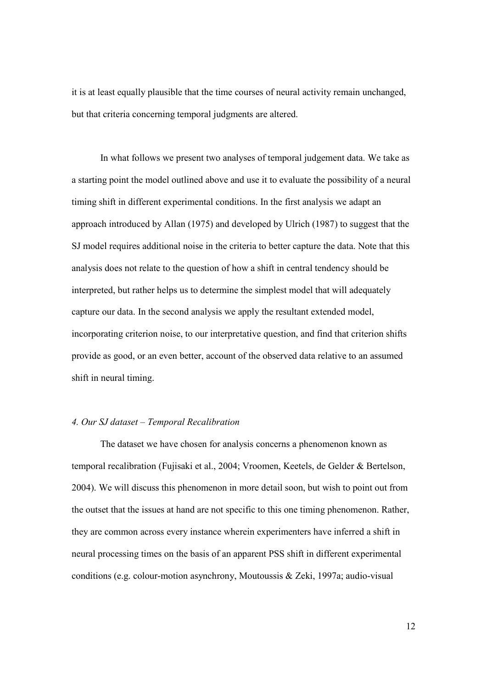it is at least equally plausible that the time courses of neural activity remain unchanged, but that criteria concerning temporal judgments are altered.

In what follows we present two analyses of temporal judgement data. We take as a starting point the model outlined above and use it to evaluate the possibility of a neural timing shift in different experimental conditions. In the first analysis we adapt an approach introduced by Allan (1975) and developed by Ulrich (1987) to suggest that the SJ model requires additional noise in the criteria to better capture the data. Note that this analysis does not relate to the question of how a shift in central tendency should be interpreted, but rather helps us to determine the simplest model that will adequately capture our data. In the second analysis we apply the resultant extended model, incorporating criterion noise, to our interpretative question, and find that criterion shifts provide as good, or an even better, account of the observed data relative to an assumed shift in neural timing.

#### *4. Our SJ dataset – Temporal Recalibration*

The dataset we have chosen for analysis concerns a phenomenon known as temporal recalibration (Fujisaki et al., 2004; Vroomen, Keetels, de Gelder & Bertelson, 2004). We will discuss this phenomenon in more detail soon, but wish to point out from the outset that the issues at hand are not specific to this one timing phenomenon. Rather, they are common across every instance wherein experimenters have inferred a shift in neural processing times on the basis of an apparent PSS shift in different experimental conditions (e.g. colour-motion asynchrony, Moutoussis & Zeki, 1997a; audio-visual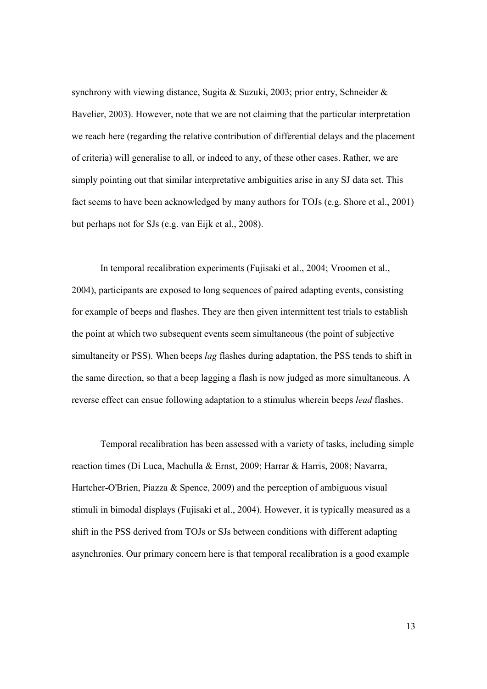synchrony with viewing distance, Sugita & Suzuki, 2003; prior entry, Schneider & Bavelier, 2003). However, note that we are not claiming that the particular interpretation we reach here (regarding the relative contribution of differential delays and the placement of criteria) will generalise to all, or indeed to any, of these other cases. Rather, we are simply pointing out that similar interpretative ambiguities arise in any SJ data set. This fact seems to have been acknowledged by many authors for TOJs (e.g. Shore et al., 2001) but perhaps not for SJs (e.g. van Eijk et al., 2008).

In temporal recalibration experiments (Fujisaki et al., 2004; Vroomen et al., 2004), participants are exposed to long sequences of paired adapting events, consisting for example of beeps and flashes. They are then given intermittent test trials to establish the point at which two subsequent events seem simultaneous (the point of subjective simultaneity or PSS). When beeps *lag* flashes during adaptation, the PSS tends to shift in the same direction, so that a beep lagging a flash is now judged as more simultaneous. A reverse effect can ensue following adaptation to a stimulus wherein beeps *lead* flashes.

Temporal recalibration has been assessed with a variety of tasks, including simple reaction times (Di Luca, Machulla & Ernst, 2009; Harrar & Harris, 2008; Navarra, Hartcher-O'Brien, Piazza & Spence, 2009) and the perception of ambiguous visual stimuli in bimodal displays (Fujisaki et al., 2004). However, it is typically measured as a shift in the PSS derived from TOJs or SJs between conditions with different adapting asynchronies. Our primary concern here is that temporal recalibration is a good example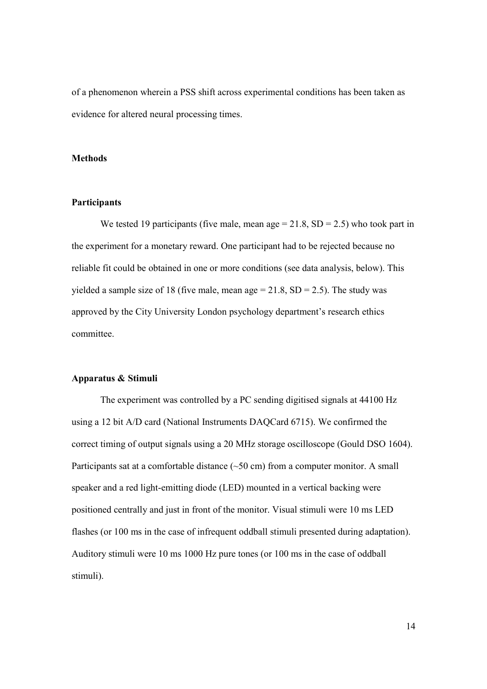of a phenomenon wherein a PSS shift across experimental conditions has been taken as evidence for altered neural processing times.

#### **Methods**

#### **Participants**

We tested 19 participants (five male, mean age  $= 21.8$ , SD  $= 2.5$ ) who took part in the experiment for a monetary reward. One participant had to be rejected because no reliable fit could be obtained in one or more conditions (see data analysis, below). This yielded a sample size of 18 (five male, mean age  $= 21.8$ , SD  $= 2.5$ ). The study was approved by the City University London psychology department's research ethics committee.

#### **Apparatus & Stimuli**

 The experiment was controlled by a PC sending digitised signals at 44100 Hz using a 12 bit A/D card (National Instruments DAQCard 6715). We confirmed the correct timing of output signals using a 20 MHz storage oscilloscope (Gould DSO 1604). Participants sat at a comfortable distance (~50 cm) from a computer monitor. A small speaker and a red light-emitting diode (LED) mounted in a vertical backing were positioned centrally and just in front of the monitor. Visual stimuli were 10 ms LED flashes (or 100 ms in the case of infrequent oddball stimuli presented during adaptation). Auditory stimuli were 10 ms 1000 Hz pure tones (or 100 ms in the case of oddball stimuli).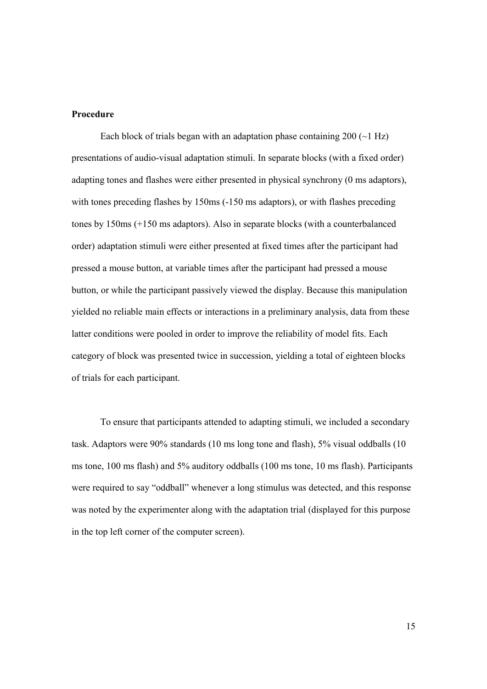#### **Procedure**

Each block of trials began with an adaptation phase containing  $200 \left( \sim 1 \text{ Hz} \right)$ presentations of audio-visual adaptation stimuli. In separate blocks (with a fixed order) adapting tones and flashes were either presented in physical synchrony (0 ms adaptors), with tones preceding flashes by 150ms (-150 ms adaptors), or with flashes preceding tones by 150ms (+150 ms adaptors). Also in separate blocks (with a counterbalanced order) adaptation stimuli were either presented at fixed times after the participant had pressed a mouse button, at variable times after the participant had pressed a mouse button, or while the participant passively viewed the display. Because this manipulation yielded no reliable main effects or interactions in a preliminary analysis, data from these latter conditions were pooled in order to improve the reliability of model fits. Each category of block was presented twice in succession, yielding a total of eighteen blocks of trials for each participant.

To ensure that participants attended to adapting stimuli, we included a secondary task. Adaptors were 90% standards (10 ms long tone and flash), 5% visual oddballs (10 ms tone, 100 ms flash) and 5% auditory oddballs (100 ms tone, 10 ms flash). Participants were required to say "oddball" whenever a long stimulus was detected, and this response was noted by the experimenter along with the adaptation trial (displayed for this purpose in the top left corner of the computer screen).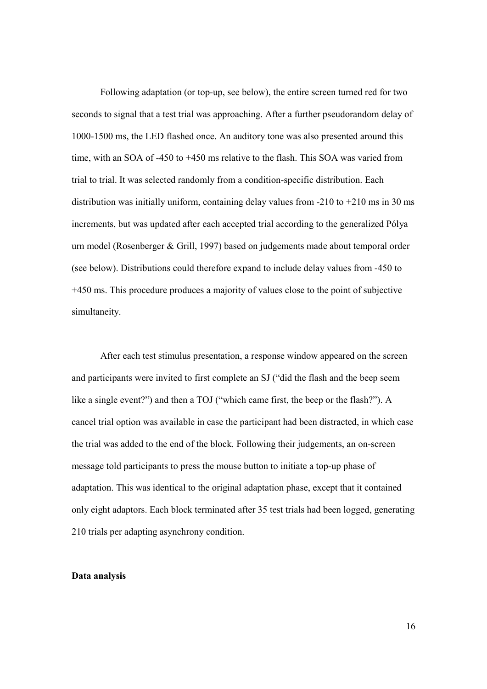Following adaptation (or top-up, see below), the entire screen turned red for two seconds to signal that a test trial was approaching. After a further pseudorandom delay of 1000-1500 ms, the LED flashed once. An auditory tone was also presented around this time, with an SOA of -450 to +450 ms relative to the flash. This SOA was varied from trial to trial. It was selected randomly from a condition-specific distribution. Each distribution was initially uniform, containing delay values from -210 to +210 ms in 30 ms increments, but was updated after each accepted trial according to the generalized Pólya urn model (Rosenberger & Grill, 1997) based on judgements made about temporal order (see below). Distributions could therefore expand to include delay values from -450 to +450 ms. This procedure produces a majority of values close to the point of subjective simultaneity.

 After each test stimulus presentation, a response window appeared on the screen and participants were invited to first complete an SJ ("did the flash and the beep seem like a single event?") and then a TOJ ("which came first, the beep or the flash?"). A cancel trial option was available in case the participant had been distracted, in which case the trial was added to the end of the block. Following their judgements, an on-screen message told participants to press the mouse button to initiate a top-up phase of adaptation. This was identical to the original adaptation phase, except that it contained only eight adaptors. Each block terminated after 35 test trials had been logged, generating 210 trials per adapting asynchrony condition.

#### **Data analysis**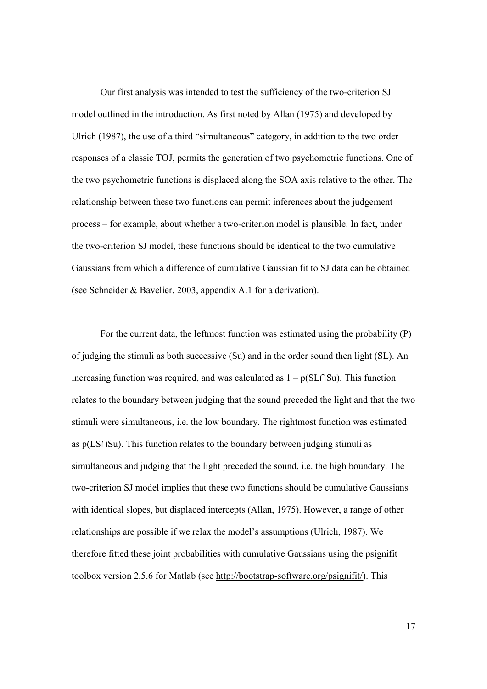Our first analysis was intended to test the sufficiency of the two-criterion SJ model outlined in the introduction. As first noted by Allan (1975) and developed by Ulrich (1987), the use of a third "simultaneous" category, in addition to the two order responses of a classic TOJ, permits the generation of two psychometric functions. One of the two psychometric functions is displaced along the SOA axis relative to the other. The relationship between these two functions can permit inferences about the judgement process – for example, about whether a two-criterion model is plausible. In fact, under the two-criterion SJ model, these functions should be identical to the two cumulative Gaussians from which a difference of cumulative Gaussian fit to SJ data can be obtained (see Schneider & Bavelier, 2003, appendix A.1 for a derivation).

For the current data, the leftmost function was estimated using the probability (P) of judging the stimuli as both successive (Su) and in the order sound then light (SL). An increasing function was required, and was calculated as 1 – p(SL∩Su). This function relates to the boundary between judging that the sound preceded the light and that the two stimuli were simultaneous, i.e. the low boundary. The rightmost function was estimated as p(LS∩Su). This function relates to the boundary between judging stimuli as simultaneous and judging that the light preceded the sound, i.e. the high boundary. The two-criterion SJ model implies that these two functions should be cumulative Gaussians with identical slopes, but displaced intercepts (Allan, 1975). However, a range of other relationships are possible if we relax the model's assumptions (Ulrich, 1987). We therefore fitted these joint probabilities with cumulative Gaussians using the psignifit toolbox version 2.5.6 for Matlab (see http://bootstrap-software.org/psignifit/). This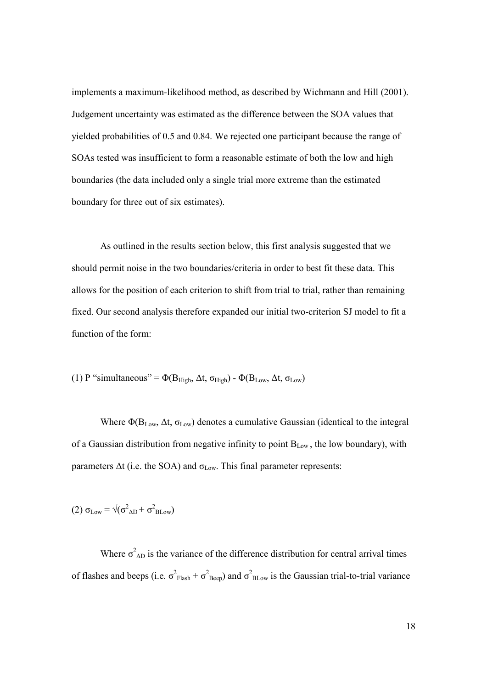implements a maximum-likelihood method, as described by Wichmann and Hill (2001). Judgement uncertainty was estimated as the difference between the SOA values that yielded probabilities of 0.5 and 0.84. We rejected one participant because the range of SOAs tested was insufficient to form a reasonable estimate of both the low and high boundaries (the data included only a single trial more extreme than the estimated boundary for three out of six estimates).

As outlined in the results section below, this first analysis suggested that we should permit noise in the two boundaries/criteria in order to best fit these data. This allows for the position of each criterion to shift from trial to trial, rather than remaining fixed. Our second analysis therefore expanded our initial two-criterion SJ model to fit a function of the form:

(1) P "simultaneous" = 
$$
\Phi(B_{High}, \Delta t, \sigma_{High}) - \Phi(B_{Low}, \Delta t, \sigma_{Low})
$$

Where  $\Phi(B_{Low}, \Delta t, \sigma_{Low})$  denotes a cumulative Gaussian (identical to the integral of a Gaussian distribution from negative infinity to point  $B_{Low}$ , the low boundary), with parameters  $\Delta t$  (i.e. the SOA) and  $\sigma_{Low}$ . This final parameter represents:

(2)  $\sigma_{Low} = \sqrt{\sigma_{AD}^2 + \sigma_{BLow}^2}$ 

Where  $\sigma_{AD}^2$  is the variance of the difference distribution for central arrival times of flashes and beeps (i.e.  $\sigma_{\text{Flash}}^2 + \sigma_{\text{Beep}}^2$ ) and  $\sigma_{\text{BLow}}^2$  is the Gaussian trial-to-trial variance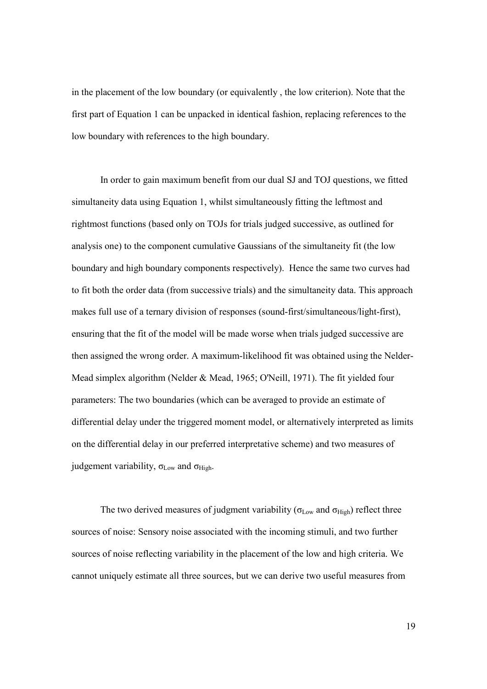in the placement of the low boundary (or equivalently , the low criterion). Note that the first part of Equation 1 can be unpacked in identical fashion, replacing references to the low boundary with references to the high boundary.

In order to gain maximum benefit from our dual SJ and TOJ questions, we fitted simultaneity data using Equation 1, whilst simultaneously fitting the leftmost and rightmost functions (based only on TOJs for trials judged successive, as outlined for analysis one) to the component cumulative Gaussians of the simultaneity fit (the low boundary and high boundary components respectively). Hence the same two curves had to fit both the order data (from successive trials) and the simultaneity data. This approach makes full use of a ternary division of responses (sound-first/simultaneous/light-first), ensuring that the fit of the model will be made worse when trials judged successive are then assigned the wrong order. A maximum-likelihood fit was obtained using the Nelder-Mead simplex algorithm (Nelder & Mead, 1965; O'Neill, 1971). The fit yielded four parameters: The two boundaries (which can be averaged to provide an estimate of differential delay under the triggered moment model, or alternatively interpreted as limits on the differential delay in our preferred interpretative scheme) and two measures of judgement variability,  $\sigma_{Low}$  and  $\sigma_{High}$ .

The two derived measures of judgment variability ( $\sigma_{Low}$  and  $\sigma_{High}$ ) reflect three sources of noise: Sensory noise associated with the incoming stimuli, and two further sources of noise reflecting variability in the placement of the low and high criteria. We cannot uniquely estimate all three sources, but we can derive two useful measures from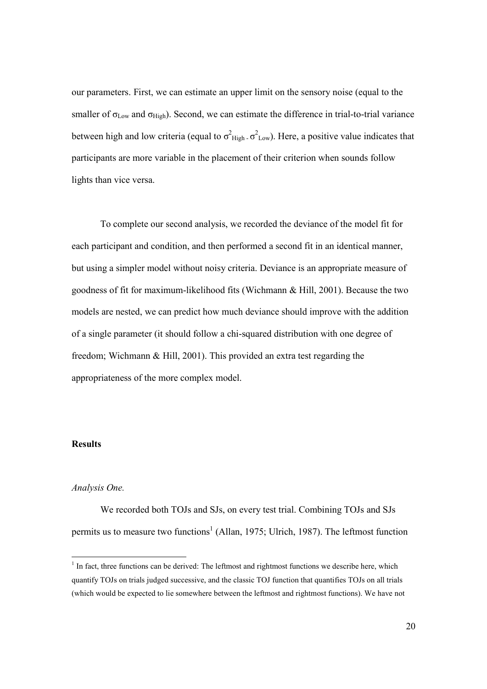our parameters. First, we can estimate an upper limit on the sensory noise (equal to the smaller of  $\sigma_{Low}$  and  $\sigma_{High}$ ). Second, we can estimate the difference in trial-to-trial variance between high and low criteria (equal to  $\sigma^2$ <sub>High</sub>  $\sigma^2$ <sub>Low</sub>). Here, a positive value indicates that participants are more variable in the placement of their criterion when sounds follow lights than vice versa.

To complete our second analysis, we recorded the deviance of the model fit for each participant and condition, and then performed a second fit in an identical manner, but using a simpler model without noisy criteria. Deviance is an appropriate measure of goodness of fit for maximum-likelihood fits (Wichmann & Hill, 2001). Because the two models are nested, we can predict how much deviance should improve with the addition of a single parameter (it should follow a chi-squared distribution with one degree of freedom; Wichmann & Hill, 2001). This provided an extra test regarding the appropriateness of the more complex model.

## **Results**

 $\overline{a}$ 

#### *Analysis One.*

 We recorded both TOJs and SJs, on every test trial. Combining TOJs and SJs permits us to measure two functions<sup>1</sup> (Allan, 1975; Ulrich, 1987). The leftmost function

 $<sup>1</sup>$  In fact, three functions can be derived: The leftmost and rightmost functions we describe here, which</sup> quantify TOJs on trials judged successive, and the classic TOJ function that quantifies TOJs on all trials (which would be expected to lie somewhere between the leftmost and rightmost functions). We have not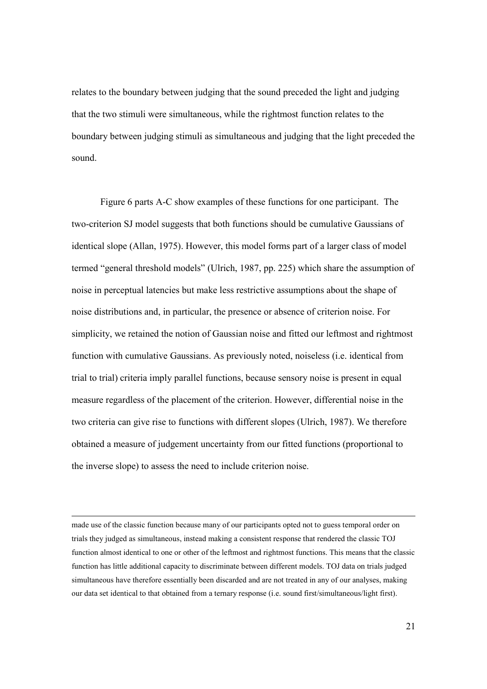relates to the boundary between judging that the sound preceded the light and judging that the two stimuli were simultaneous, while the rightmost function relates to the boundary between judging stimuli as simultaneous and judging that the light preceded the sound.

Figure 6 parts A-C show examples of these functions for one participant. The two-criterion SJ model suggests that both functions should be cumulative Gaussians of identical slope (Allan, 1975). However, this model forms part of a larger class of model termed "general threshold models" (Ulrich, 1987, pp. 225) which share the assumption of noise in perceptual latencies but make less restrictive assumptions about the shape of noise distributions and, in particular, the presence or absence of criterion noise. For simplicity, we retained the notion of Gaussian noise and fitted our leftmost and rightmost function with cumulative Gaussians. As previously noted, noiseless (i.e. identical from trial to trial) criteria imply parallel functions, because sensory noise is present in equal measure regardless of the placement of the criterion. However, differential noise in the two criteria can give rise to functions with different slopes (Ulrich, 1987). We therefore obtained a measure of judgement uncertainty from our fitted functions (proportional to the inverse slope) to assess the need to include criterion noise.

made use of the classic function because many of our participants opted not to guess temporal order on trials they judged as simultaneous, instead making a consistent response that rendered the classic TOJ function almost identical to one or other of the leftmost and rightmost functions. This means that the classic function has little additional capacity to discriminate between different models. TOJ data on trials judged simultaneous have therefore essentially been discarded and are not treated in any of our analyses, making our data set identical to that obtained from a ternary response (i.e. sound first/simultaneous/light first).

-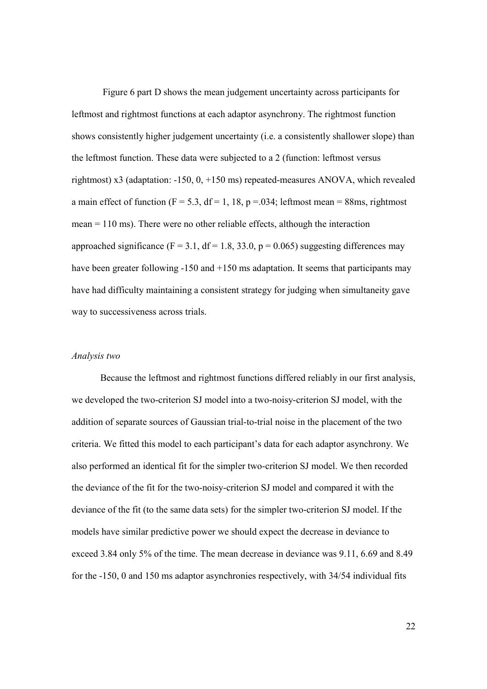Figure 6 part D shows the mean judgement uncertainty across participants for leftmost and rightmost functions at each adaptor asynchrony. The rightmost function shows consistently higher judgement uncertainty (i.e. a consistently shallower slope) than the leftmost function. These data were subjected to a 2 (function: leftmost versus rightmost) x3 (adaptation: -150, 0, +150 ms) repeated-measures ANOVA, which revealed a main effect of function ( $F = 5.3$ ,  $df = 1$ , 18, p = 034; leftmost mean = 88ms, rightmost mean = 110 ms). There were no other reliable effects, although the interaction approached significance ( $F = 3.1$ ,  $df = 1.8$ , 33.0,  $p = 0.065$ ) suggesting differences may have been greater following  $-150$  and  $+150$  ms adaptation. It seems that participants may have had difficulty maintaining a consistent strategy for judging when simultaneity gave way to successiveness across trials.

#### *Analysis two*

 Because the leftmost and rightmost functions differed reliably in our first analysis, we developed the two-criterion SJ model into a two-noisy-criterion SJ model, with the addition of separate sources of Gaussian trial-to-trial noise in the placement of the two criteria. We fitted this model to each participant's data for each adaptor asynchrony. We also performed an identical fit for the simpler two-criterion SJ model. We then recorded the deviance of the fit for the two-noisy-criterion SJ model and compared it with the deviance of the fit (to the same data sets) for the simpler two-criterion SJ model. If the models have similar predictive power we should expect the decrease in deviance to exceed 3.84 only 5% of the time. The mean decrease in deviance was 9.11, 6.69 and 8.49 for the -150, 0 and 150 ms adaptor asynchronies respectively, with 34/54 individual fits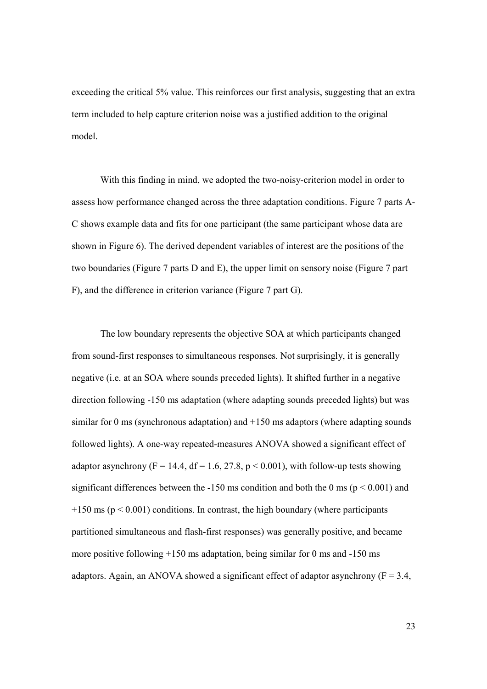exceeding the critical 5% value. This reinforces our first analysis, suggesting that an extra term included to help capture criterion noise was a justified addition to the original model.

With this finding in mind, we adopted the two-noisy-criterion model in order to assess how performance changed across the three adaptation conditions. Figure 7 parts A-C shows example data and fits for one participant (the same participant whose data are shown in Figure 6). The derived dependent variables of interest are the positions of the two boundaries (Figure 7 parts D and E), the upper limit on sensory noise (Figure 7 part F), and the difference in criterion variance (Figure 7 part G).

 The low boundary represents the objective SOA at which participants changed from sound-first responses to simultaneous responses. Not surprisingly, it is generally negative (i.e. at an SOA where sounds preceded lights). It shifted further in a negative direction following -150 ms adaptation (where adapting sounds preceded lights) but was similar for 0 ms (synchronous adaptation) and +150 ms adaptors (where adapting sounds followed lights). A one-way repeated-measures ANOVA showed a significant effect of adaptor asynchrony (F = 14.4, df = 1.6, 27.8, p < 0.001), with follow-up tests showing significant differences between the -150 ms condition and both the 0 ms ( $p < 0.001$ ) and  $+150 \text{ ms}$  ( $p < 0.001$ ) conditions. In contrast, the high boundary (where participants partitioned simultaneous and flash-first responses) was generally positive, and became more positive following +150 ms adaptation, being similar for 0 ms and -150 ms adaptors. Again, an ANOVA showed a significant effect of adaptor asynchrony ( $F = 3.4$ ,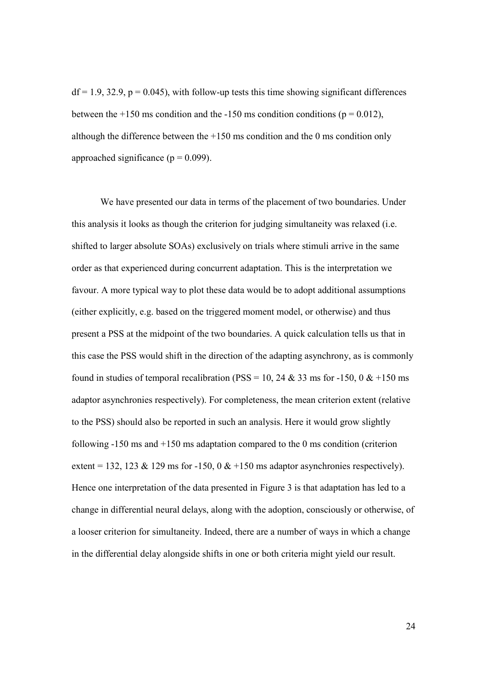$df = 1.9$ , 32.9,  $p = 0.045$ ), with follow-up tests this time showing significant differences between the +150 ms condition and the -150 ms condition conditions ( $p = 0.012$ ), although the difference between the  $+150$  ms condition and the 0 ms condition only approached significance ( $p = 0.099$ ).

We have presented our data in terms of the placement of two boundaries. Under this analysis it looks as though the criterion for judging simultaneity was relaxed (i.e. shifted to larger absolute SOAs) exclusively on trials where stimuli arrive in the same order as that experienced during concurrent adaptation. This is the interpretation we favour. A more typical way to plot these data would be to adopt additional assumptions (either explicitly, e.g. based on the triggered moment model, or otherwise) and thus present a PSS at the midpoint of the two boundaries. A quick calculation tells us that in this case the PSS would shift in the direction of the adapting asynchrony, as is commonly found in studies of temporal recalibration (PSS = 10, 24 & 33 ms for -150, 0 & +150 ms adaptor asynchronies respectively). For completeness, the mean criterion extent (relative to the PSS) should also be reported in such an analysis. Here it would grow slightly following -150 ms and +150 ms adaptation compared to the 0 ms condition (criterion extent = 132, 123 & 129 ms for -150,  $0 \& +150$  ms adaptor asynchronies respectively). Hence one interpretation of the data presented in Figure 3 is that adaptation has led to a change in differential neural delays, along with the adoption, consciously or otherwise, of a looser criterion for simultaneity. Indeed, there are a number of ways in which a change in the differential delay alongside shifts in one or both criteria might yield our result.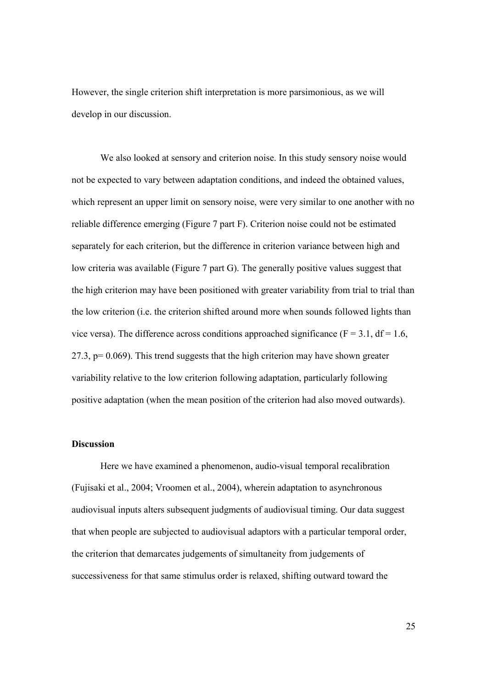However, the single criterion shift interpretation is more parsimonious, as we will develop in our discussion.

 We also looked at sensory and criterion noise. In this study sensory noise would not be expected to vary between adaptation conditions, and indeed the obtained values, which represent an upper limit on sensory noise, were very similar to one another with no reliable difference emerging (Figure 7 part F). Criterion noise could not be estimated separately for each criterion, but the difference in criterion variance between high and low criteria was available (Figure 7 part G). The generally positive values suggest that the high criterion may have been positioned with greater variability from trial to trial than the low criterion (i.e. the criterion shifted around more when sounds followed lights than vice versa). The difference across conditions approached significance ( $F = 3.1$ ,  $df = 1.6$ , 27.3, p= 0.069). This trend suggests that the high criterion may have shown greater variability relative to the low criterion following adaptation, particularly following positive adaptation (when the mean position of the criterion had also moved outwards).

#### **Discussion**

Here we have examined a phenomenon, audio-visual temporal recalibration (Fujisaki et al., 2004; Vroomen et al., 2004), wherein adaptation to asynchronous audiovisual inputs alters subsequent judgments of audiovisual timing. Our data suggest that when people are subjected to audiovisual adaptors with a particular temporal order, the criterion that demarcates judgements of simultaneity from judgements of successiveness for that same stimulus order is relaxed, shifting outward toward the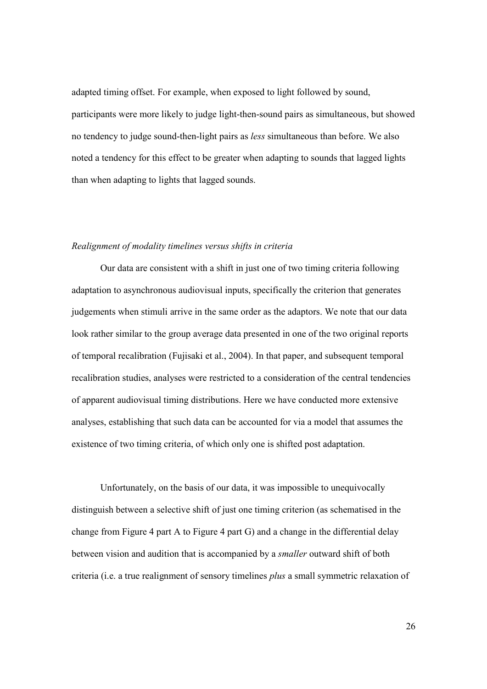adapted timing offset. For example, when exposed to light followed by sound, participants were more likely to judge light-then-sound pairs as simultaneous, but showed no tendency to judge sound-then-light pairs as *less* simultaneous than before. We also noted a tendency for this effect to be greater when adapting to sounds that lagged lights than when adapting to lights that lagged sounds.

#### *Realignment of modality timelines versus shifts in criteria*

 Our data are consistent with a shift in just one of two timing criteria following adaptation to asynchronous audiovisual inputs, specifically the criterion that generates judgements when stimuli arrive in the same order as the adaptors. We note that our data look rather similar to the group average data presented in one of the two original reports of temporal recalibration (Fujisaki et al., 2004). In that paper, and subsequent temporal recalibration studies, analyses were restricted to a consideration of the central tendencies of apparent audiovisual timing distributions. Here we have conducted more extensive analyses, establishing that such data can be accounted for via a model that assumes the existence of two timing criteria, of which only one is shifted post adaptation.

Unfortunately, on the basis of our data, it was impossible to unequivocally distinguish between a selective shift of just one timing criterion (as schematised in the change from Figure 4 part A to Figure 4 part G) and a change in the differential delay between vision and audition that is accompanied by a *smaller* outward shift of both criteria (i.e. a true realignment of sensory timelines *plus* a small symmetric relaxation of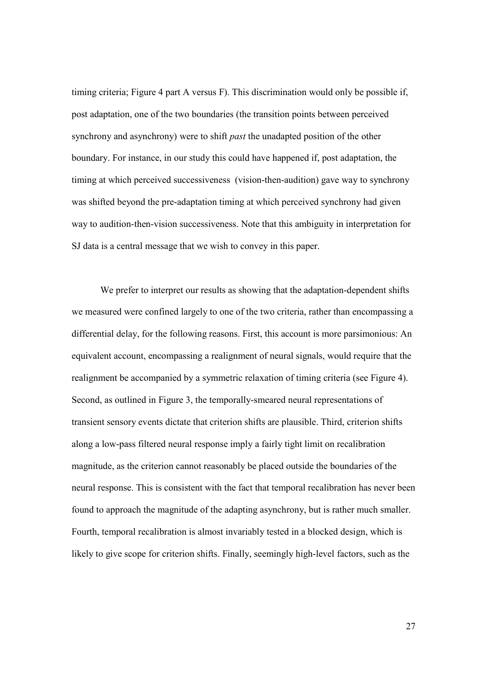timing criteria; Figure 4 part A versus F). This discrimination would only be possible if, post adaptation, one of the two boundaries (the transition points between perceived synchrony and asynchrony) were to shift *past* the unadapted position of the other boundary. For instance, in our study this could have happened if, post adaptation, the timing at which perceived successiveness (vision-then-audition) gave way to synchrony was shifted beyond the pre-adaptation timing at which perceived synchrony had given way to audition-then-vision successiveness. Note that this ambiguity in interpretation for SJ data is a central message that we wish to convey in this paper.

 We prefer to interpret our results as showing that the adaptation-dependent shifts we measured were confined largely to one of the two criteria, rather than encompassing a differential delay, for the following reasons. First, this account is more parsimonious: An equivalent account, encompassing a realignment of neural signals, would require that the realignment be accompanied by a symmetric relaxation of timing criteria (see Figure 4). Second, as outlined in Figure 3, the temporally-smeared neural representations of transient sensory events dictate that criterion shifts are plausible. Third, criterion shifts along a low-pass filtered neural response imply a fairly tight limit on recalibration magnitude, as the criterion cannot reasonably be placed outside the boundaries of the neural response. This is consistent with the fact that temporal recalibration has never been found to approach the magnitude of the adapting asynchrony, but is rather much smaller. Fourth, temporal recalibration is almost invariably tested in a blocked design, which is likely to give scope for criterion shifts. Finally, seemingly high-level factors, such as the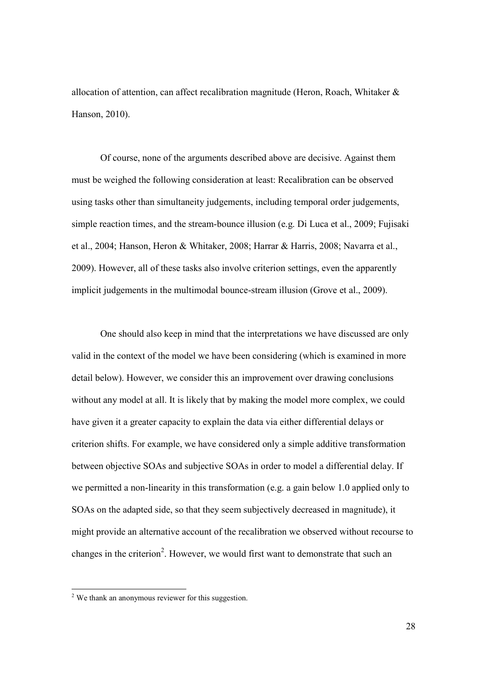allocation of attention, can affect recalibration magnitude (Heron, Roach, Whitaker & Hanson, 2010).

 Of course, none of the arguments described above are decisive. Against them must be weighed the following consideration at least: Recalibration can be observed using tasks other than simultaneity judgements, including temporal order judgements, simple reaction times, and the stream-bounce illusion (e.g. Di Luca et al., 2009; Fujisaki et al., 2004; Hanson, Heron & Whitaker, 2008; Harrar & Harris, 2008; Navarra et al., 2009). However, all of these tasks also involve criterion settings, even the apparently implicit judgements in the multimodal bounce-stream illusion (Grove et al., 2009).

One should also keep in mind that the interpretations we have discussed are only valid in the context of the model we have been considering (which is examined in more detail below). However, we consider this an improvement over drawing conclusions without any model at all. It is likely that by making the model more complex, we could have given it a greater capacity to explain the data via either differential delays or criterion shifts. For example, we have considered only a simple additive transformation between objective SOAs and subjective SOAs in order to model a differential delay. If we permitted a non-linearity in this transformation (e.g. a gain below 1.0 applied only to SOAs on the adapted side, so that they seem subjectively decreased in magnitude), it might provide an alternative account of the recalibration we observed without recourse to changes in the criterion<sup>2</sup>. However, we would first want to demonstrate that such an

<sup>&</sup>lt;sup>2</sup> We thank an anonymous reviewer for this suggestion.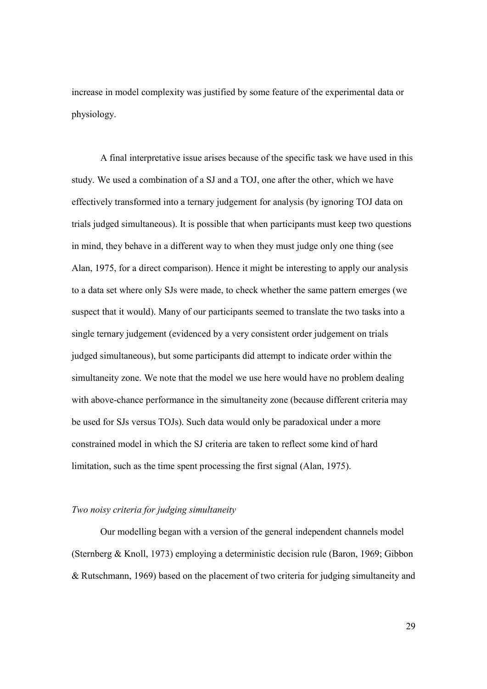increase in model complexity was justified by some feature of the experimental data or physiology.

A final interpretative issue arises because of the specific task we have used in this study. We used a combination of a SJ and a TOJ, one after the other, which we have effectively transformed into a ternary judgement for analysis (by ignoring TOJ data on trials judged simultaneous). It is possible that when participants must keep two questions in mind, they behave in a different way to when they must judge only one thing (see Alan, 1975, for a direct comparison). Hence it might be interesting to apply our analysis to a data set where only SJs were made, to check whether the same pattern emerges (we suspect that it would). Many of our participants seemed to translate the two tasks into a single ternary judgement (evidenced by a very consistent order judgement on trials judged simultaneous), but some participants did attempt to indicate order within the simultaneity zone. We note that the model we use here would have no problem dealing with above-chance performance in the simultaneity zone (because different criteria may be used for SJs versus TOJs). Such data would only be paradoxical under a more constrained model in which the SJ criteria are taken to reflect some kind of hard limitation, such as the time spent processing the first signal (Alan, 1975).

### *Two noisy criteria for judging simultaneity*

 Our modelling began with a version of the general independent channels model (Sternberg & Knoll, 1973) employing a deterministic decision rule (Baron, 1969; Gibbon & Rutschmann, 1969) based on the placement of two criteria for judging simultaneity and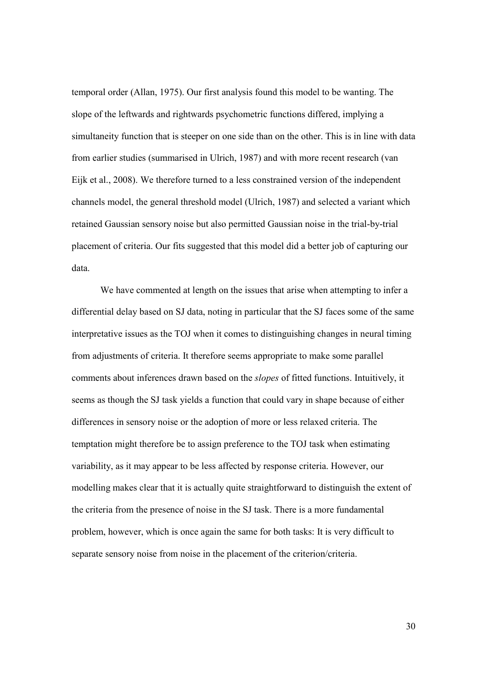temporal order (Allan, 1975). Our first analysis found this model to be wanting. The slope of the leftwards and rightwards psychometric functions differed, implying a simultaneity function that is steeper on one side than on the other. This is in line with data from earlier studies (summarised in Ulrich, 1987) and with more recent research (van Eijk et al., 2008). We therefore turned to a less constrained version of the independent channels model, the general threshold model (Ulrich, 1987) and selected a variant which retained Gaussian sensory noise but also permitted Gaussian noise in the trial-by-trial placement of criteria. Our fits suggested that this model did a better job of capturing our data.

 We have commented at length on the issues that arise when attempting to infer a differential delay based on SJ data, noting in particular that the SJ faces some of the same interpretative issues as the TOJ when it comes to distinguishing changes in neural timing from adjustments of criteria. It therefore seems appropriate to make some parallel comments about inferences drawn based on the *slopes* of fitted functions. Intuitively, it seems as though the SJ task yields a function that could vary in shape because of either differences in sensory noise or the adoption of more or less relaxed criteria. The temptation might therefore be to assign preference to the TOJ task when estimating variability, as it may appear to be less affected by response criteria. However, our modelling makes clear that it is actually quite straightforward to distinguish the extent of the criteria from the presence of noise in the SJ task. There is a more fundamental problem, however, which is once again the same for both tasks: It is very difficult to separate sensory noise from noise in the placement of the criterion/criteria.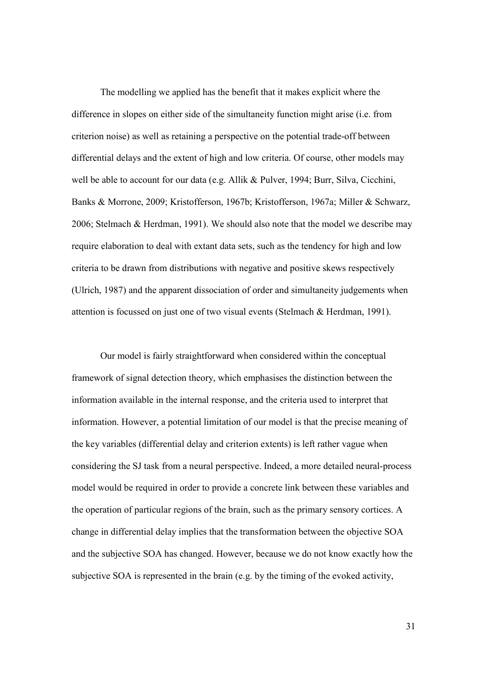The modelling we applied has the benefit that it makes explicit where the difference in slopes on either side of the simultaneity function might arise (i.e. from criterion noise) as well as retaining a perspective on the potential trade-off between differential delays and the extent of high and low criteria. Of course, other models may well be able to account for our data (e.g. Allik & Pulver, 1994; Burr, Silva, Cicchini, Banks & Morrone, 2009; Kristofferson, 1967b; Kristofferson, 1967a; Miller & Schwarz, 2006; Stelmach & Herdman, 1991). We should also note that the model we describe may require elaboration to deal with extant data sets, such as the tendency for high and low criteria to be drawn from distributions with negative and positive skews respectively (Ulrich, 1987) and the apparent dissociation of order and simultaneity judgements when attention is focussed on just one of two visual events (Stelmach & Herdman, 1991).

Our model is fairly straightforward when considered within the conceptual framework of signal detection theory, which emphasises the distinction between the information available in the internal response, and the criteria used to interpret that information. However, a potential limitation of our model is that the precise meaning of the key variables (differential delay and criterion extents) is left rather vague when considering the SJ task from a neural perspective. Indeed, a more detailed neural-process model would be required in order to provide a concrete link between these variables and the operation of particular regions of the brain, such as the primary sensory cortices. A change in differential delay implies that the transformation between the objective SOA and the subjective SOA has changed. However, because we do not know exactly how the subjective SOA is represented in the brain (e.g. by the timing of the evoked activity,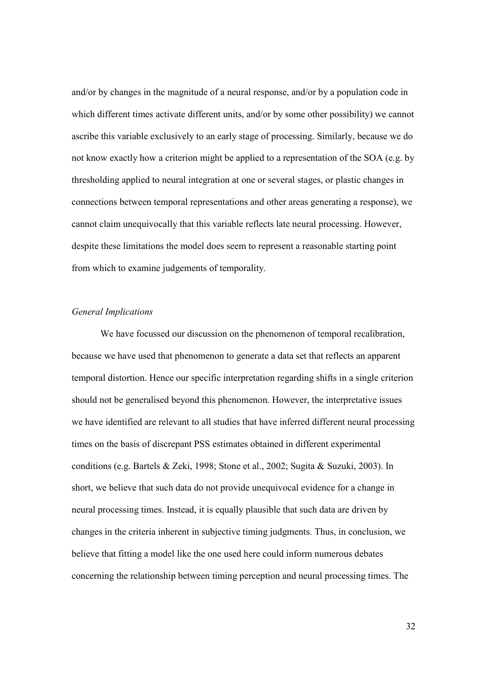and/or by changes in the magnitude of a neural response, and/or by a population code in which different times activate different units, and/or by some other possibility) we cannot ascribe this variable exclusively to an early stage of processing. Similarly, because we do not know exactly how a criterion might be applied to a representation of the SOA (e.g. by thresholding applied to neural integration at one or several stages, or plastic changes in connections between temporal representations and other areas generating a response), we cannot claim unequivocally that this variable reflects late neural processing. However, despite these limitations the model does seem to represent a reasonable starting point from which to examine judgements of temporality.

#### *General Implications*

We have focussed our discussion on the phenomenon of temporal recalibration, because we have used that phenomenon to generate a data set that reflects an apparent temporal distortion. Hence our specific interpretation regarding shifts in a single criterion should not be generalised beyond this phenomenon. However, the interpretative issues we have identified are relevant to all studies that have inferred different neural processing times on the basis of discrepant PSS estimates obtained in different experimental conditions (e.g. Bartels & Zeki, 1998; Stone et al., 2002; Sugita & Suzuki, 2003). In short, we believe that such data do not provide unequivocal evidence for a change in neural processing times. Instead, it is equally plausible that such data are driven by changes in the criteria inherent in subjective timing judgments. Thus, in conclusion, we believe that fitting a model like the one used here could inform numerous debates concerning the relationship between timing perception and neural processing times. The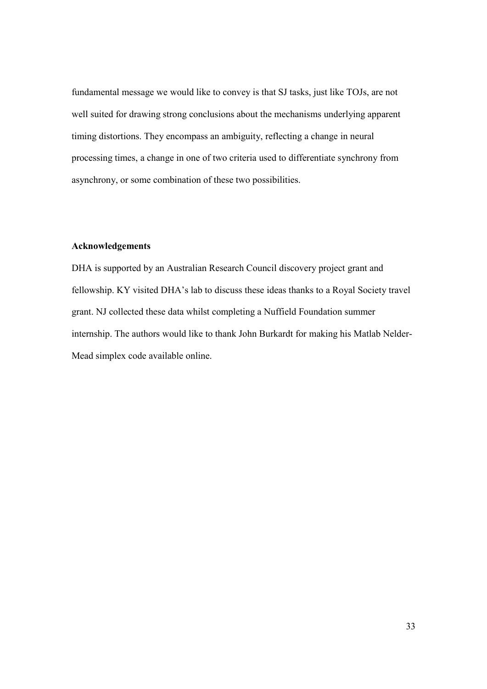fundamental message we would like to convey is that SJ tasks, just like TOJs, are not well suited for drawing strong conclusions about the mechanisms underlying apparent timing distortions. They encompass an ambiguity, reflecting a change in neural processing times, a change in one of two criteria used to differentiate synchrony from asynchrony, or some combination of these two possibilities.

### **Acknowledgements**

DHA is supported by an Australian Research Council discovery project grant and fellowship. KY visited DHA's lab to discuss these ideas thanks to a Royal Society travel grant. NJ collected these data whilst completing a Nuffield Foundation summer internship. The authors would like to thank John Burkardt for making his Matlab Nelder-Mead simplex code available online.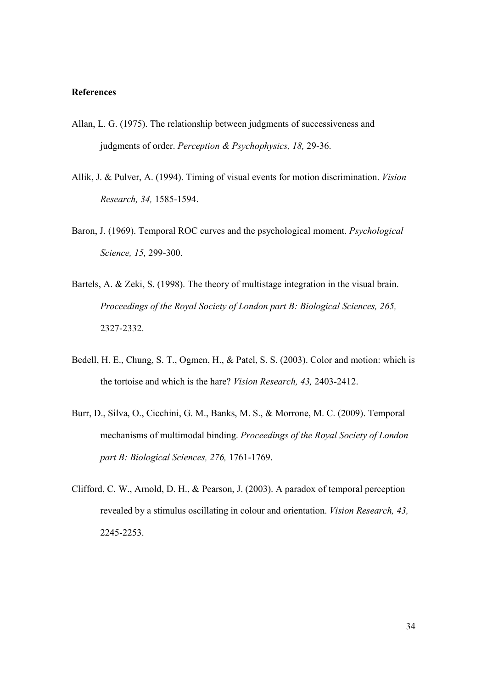#### **References**

- Allan, L. G. (1975). The relationship between judgments of successiveness and judgments of order. *Perception & Psychophysics, 18,* 29-36.
- Allik, J. & Pulver, A. (1994). Timing of visual events for motion discrimination. *Vision Research, 34,* 1585-1594.
- Baron, J. (1969). Temporal ROC curves and the psychological moment. *Psychological Science, 15,* 299-300.
- Bartels, A. & Zeki, S. (1998). The theory of multistage integration in the visual brain. *Proceedings of the Royal Society of London part B: Biological Sciences, 265,* 2327-2332.
- Bedell, H. E., Chung, S. T., Ogmen, H., & Patel, S. S. (2003). Color and motion: which is the tortoise and which is the hare? *Vision Research, 43,* 2403-2412.
- Burr, D., Silva, O., Cicchini, G. M., Banks, M. S., & Morrone, M. C. (2009). Temporal mechanisms of multimodal binding. *Proceedings of the Royal Society of London part B: Biological Sciences, 276,* 1761-1769.
- Clifford, C. W., Arnold, D. H., & Pearson, J. (2003). A paradox of temporal perception revealed by a stimulus oscillating in colour and orientation. *Vision Research, 43,* 2245-2253.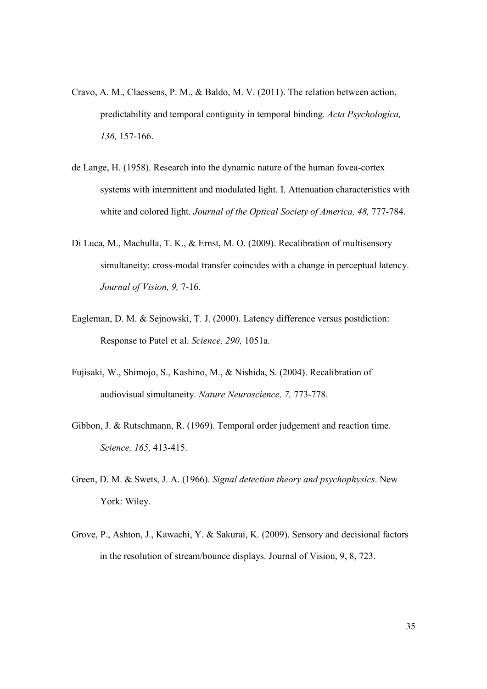- Cravo, A. M., Claessens, P. M., & Baldo, M. V. (2011). The relation between action, predictability and temporal contiguity in temporal binding. *Acta Psychologica, 136,* 157-166.
- de Lange, H. (1958). Research into the dynamic nature of the human fovea-cortex systems with intermittent and modulated light. I. Attenuation characteristics with white and colored light. *Journal of the Optical Society of America, 48,* 777-784.
- Di Luca, M., Machulla, T. K., & Ernst, M. O. (2009). Recalibration of multisensory simultaneity: cross-modal transfer coincides with a change in perceptual latency. *Journal of Vision, 9,* 7-16.
- Eagleman, D. M. & Sejnowski, T. J. (2000). Latency difference versus postdiction: Response to Patel et al. *Science, 290,* 1051a.
- Fujisaki, W., Shimojo, S., Kashino, M., & Nishida, S. (2004). Recalibration of audiovisual simultaneity. *Nature Neuroscience, 7,* 773-778.
- Gibbon, J. & Rutschmann, R. (1969). Temporal order judgement and reaction time. *Science, 165,* 413-415.
- Green, D. M. & Swets, J. A. (1966). *Signal detection theory and psychophysics*. New York: Wiley.
- Grove, P., Ashton, J., Kawachi, Y. & Sakurai, K. (2009). Sensory and decisional factors in the resolution of stream/bounce displays. Journal of Vision, 9, 8, 723.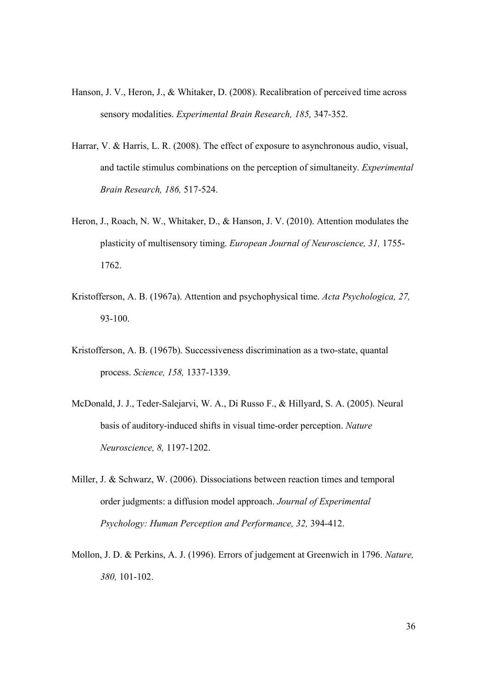- Hanson, J. V., Heron, J., & Whitaker, D. (2008). Recalibration of perceived time across sensory modalities. *Experimental Brain Research, 185,* 347-352.
- Harrar, V. & Harris, L. R. (2008). The effect of exposure to asynchronous audio, visual, and tactile stimulus combinations on the perception of simultaneity. *Experimental Brain Research, 186,* 517-524.
- Heron, J., Roach, N. W., Whitaker, D., & Hanson, J. V. (2010). Attention modulates the plasticity of multisensory timing. *European Journal of Neuroscience, 31,* 1755- 1762.
- Kristofferson, A. B. (1967a). Attention and psychophysical time. *Acta Psychologica, 27,* 93-100.
- Kristofferson, A. B. (1967b). Successiveness discrimination as a two-state, quantal process. *Science, 158,* 1337-1339.
- McDonald, J. J., Teder-Salejarvi, W. A., Di Russo F., & Hillyard, S. A. (2005). Neural basis of auditory-induced shifts in visual time-order perception. *Nature Neuroscience, 8,* 1197-1202.
- Miller, J. & Schwarz, W. (2006). Dissociations between reaction times and temporal order judgments: a diffusion model approach. *Journal of Experimental Psychology: Human Perception and Performance, 32,* 394-412.
- Mollon, J. D. & Perkins, A. J. (1996). Errors of judgement at Greenwich in 1796. *Nature, 380,* 101-102.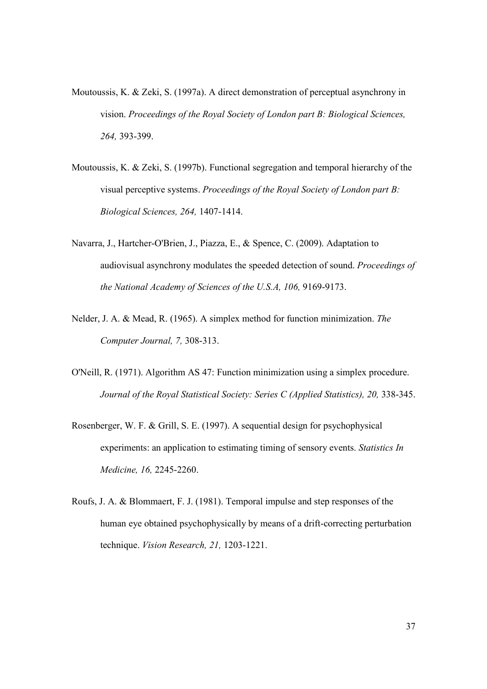- Moutoussis, K. & Zeki, S. (1997a). A direct demonstration of perceptual asynchrony in vision. *Proceedings of the Royal Society of London part B: Biological Sciences, 264,* 393-399.
- Moutoussis, K. & Zeki, S. (1997b). Functional segregation and temporal hierarchy of the visual perceptive systems. *Proceedings of the Royal Society of London part B: Biological Sciences, 264,* 1407-1414.
- Navarra, J., Hartcher-O'Brien, J., Piazza, E., & Spence, C. (2009). Adaptation to audiovisual asynchrony modulates the speeded detection of sound. *Proceedings of the National Academy of Sciences of the U.S.A, 106,* 9169-9173.
- Nelder, J. A. & Mead, R. (1965). A simplex method for function minimization. *The Computer Journal, 7,* 308-313.
- O'Neill, R. (1971). Algorithm AS 47: Function minimization using a simplex procedure. *Journal of the Royal Statistical Society: Series C (Applied Statistics), 20,* 338-345.
- Rosenberger, W. F. & Grill, S. E. (1997). A sequential design for psychophysical experiments: an application to estimating timing of sensory events. *Statistics In Medicine, 16,* 2245-2260.
- Roufs, J. A. & Blommaert, F. J. (1981). Temporal impulse and step responses of the human eye obtained psychophysically by means of a drift-correcting perturbation technique. *Vision Research, 21,* 1203-1221.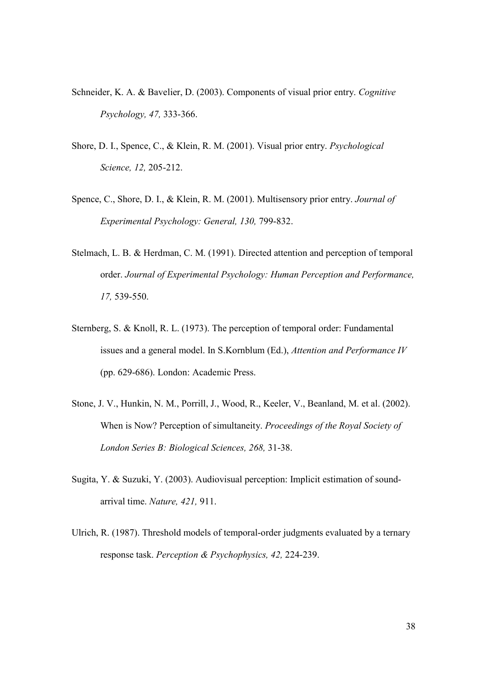- Schneider, K. A. & Bavelier, D. (2003). Components of visual prior entry. *Cognitive Psychology, 47,* 333-366.
- Shore, D. I., Spence, C., & Klein, R. M. (2001). Visual prior entry. *Psychological Science, 12,* 205-212.
- Spence, C., Shore, D. I., & Klein, R. M. (2001). Multisensory prior entry. *Journal of Experimental Psychology: General, 130,* 799-832.
- Stelmach, L. B. & Herdman, C. M. (1991). Directed attention and perception of temporal order. *Journal of Experimental Psychology: Human Perception and Performance, 17,* 539-550.
- Sternberg, S. & Knoll, R. L. (1973). The perception of temporal order: Fundamental issues and a general model. In S.Kornblum (Ed.), *Attention and Performance IV* (pp. 629-686). London: Academic Press.
- Stone, J. V., Hunkin, N. M., Porrill, J., Wood, R., Keeler, V., Beanland, M. et al. (2002). When is Now? Perception of simultaneity. *Proceedings of the Royal Society of London Series B: Biological Sciences, 268,* 31-38.
- Sugita, Y. & Suzuki, Y. (2003). Audiovisual perception: Implicit estimation of soundarrival time. *Nature, 421,* 911.
- Ulrich, R. (1987). Threshold models of temporal-order judgments evaluated by a ternary response task. *Perception & Psychophysics, 42,* 224-239.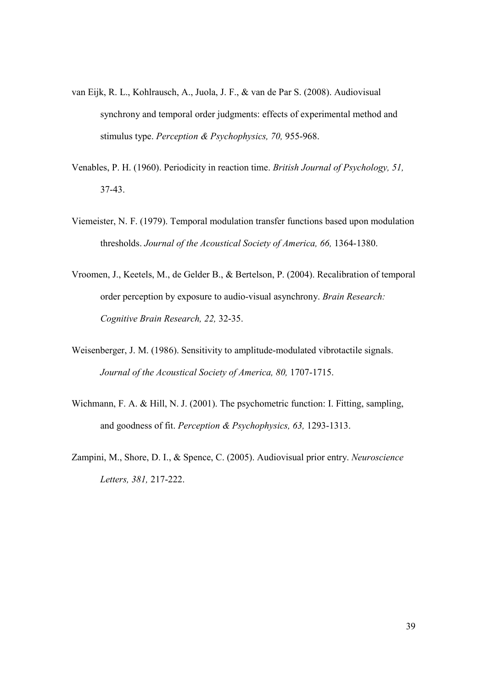- van Eijk, R. L., Kohlrausch, A., Juola, J. F., & van de Par S. (2008). Audiovisual synchrony and temporal order judgments: effects of experimental method and stimulus type. *Perception & Psychophysics, 70,* 955-968.
- Venables, P. H. (1960). Periodicity in reaction time. *British Journal of Psychology, 51,* 37-43.
- Viemeister, N. F. (1979). Temporal modulation transfer functions based upon modulation thresholds. *Journal of the Acoustical Society of America, 66,* 1364-1380.
- Vroomen, J., Keetels, M., de Gelder B., & Bertelson, P. (2004). Recalibration of temporal order perception by exposure to audio-visual asynchrony. *Brain Research: Cognitive Brain Research, 22,* 32-35.
- Weisenberger, J. M. (1986). Sensitivity to amplitude-modulated vibrotactile signals. *Journal of the Acoustical Society of America, 80,* 1707-1715.
- Wichmann, F. A. & Hill, N. J. (2001). The psychometric function: I. Fitting, sampling, and goodness of fit. *Perception & Psychophysics, 63,* 1293-1313.
- Zampini, M., Shore, D. I., & Spence, C. (2005). Audiovisual prior entry. *Neuroscience Letters, 381,* 217-222.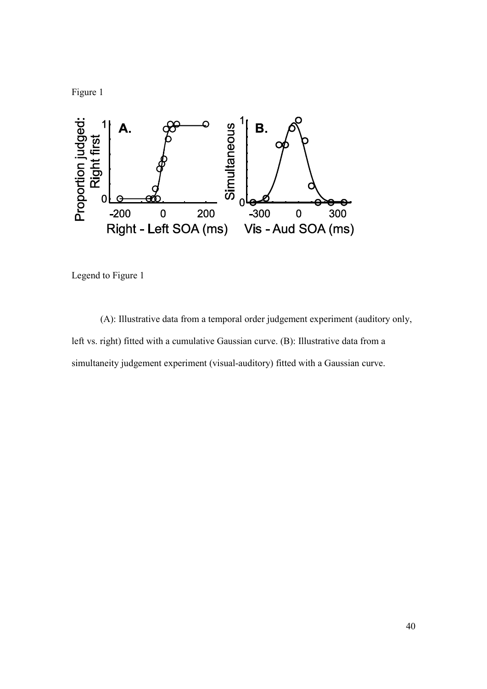



Legend to Figure 1

 (A): Illustrative data from a temporal order judgement experiment (auditory only, left vs. right) fitted with a cumulative Gaussian curve. (B): Illustrative data from a simultaneity judgement experiment (visual-auditory) fitted with a Gaussian curve.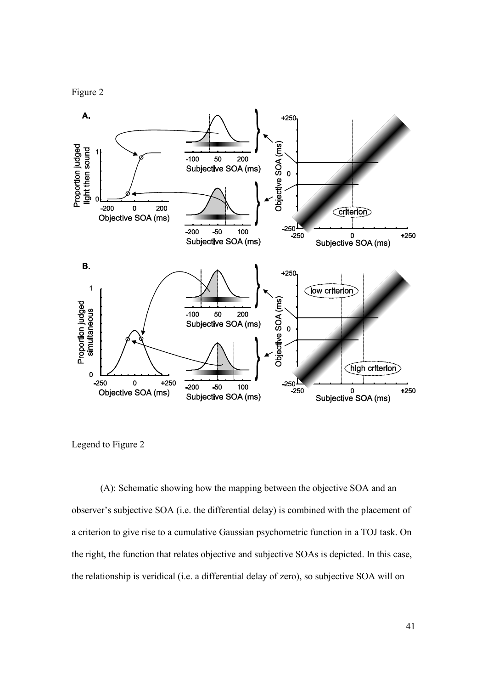



Legend to Figure 2

 (A): Schematic showing how the mapping between the objective SOA and an observer's subjective SOA (i.e. the differential delay) is combined with the placement of a criterion to give rise to a cumulative Gaussian psychometric function in a TOJ task. On the right, the function that relates objective and subjective SOAs is depicted. In this case, the relationship is veridical (i.e. a differential delay of zero), so subjective SOA will on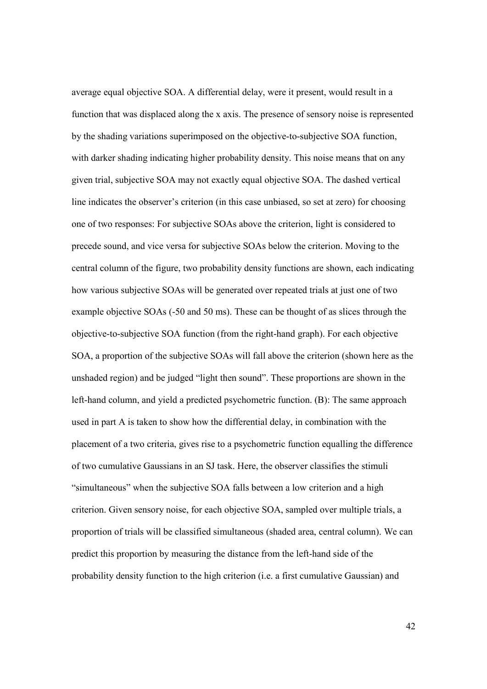average equal objective SOA. A differential delay, were it present, would result in a function that was displaced along the x axis. The presence of sensory noise is represented by the shading variations superimposed on the objective-to-subjective SOA function, with darker shading indicating higher probability density. This noise means that on any given trial, subjective SOA may not exactly equal objective SOA. The dashed vertical line indicates the observer's criterion (in this case unbiased, so set at zero) for choosing one of two responses: For subjective SOAs above the criterion, light is considered to precede sound, and vice versa for subjective SOAs below the criterion. Moving to the central column of the figure, two probability density functions are shown, each indicating how various subjective SOAs will be generated over repeated trials at just one of two example objective SOAs (-50 and 50 ms). These can be thought of as slices through the objective-to-subjective SOA function (from the right-hand graph). For each objective SOA, a proportion of the subjective SOAs will fall above the criterion (shown here as the unshaded region) and be judged "light then sound". These proportions are shown in the left-hand column, and yield a predicted psychometric function. (B): The same approach used in part A is taken to show how the differential delay, in combination with the placement of a two criteria, gives rise to a psychometric function equalling the difference of two cumulative Gaussians in an SJ task. Here, the observer classifies the stimuli "simultaneous" when the subjective SOA falls between a low criterion and a high criterion. Given sensory noise, for each objective SOA, sampled over multiple trials, a proportion of trials will be classified simultaneous (shaded area, central column). We can predict this proportion by measuring the distance from the left-hand side of the probability density function to the high criterion (i.e. a first cumulative Gaussian) and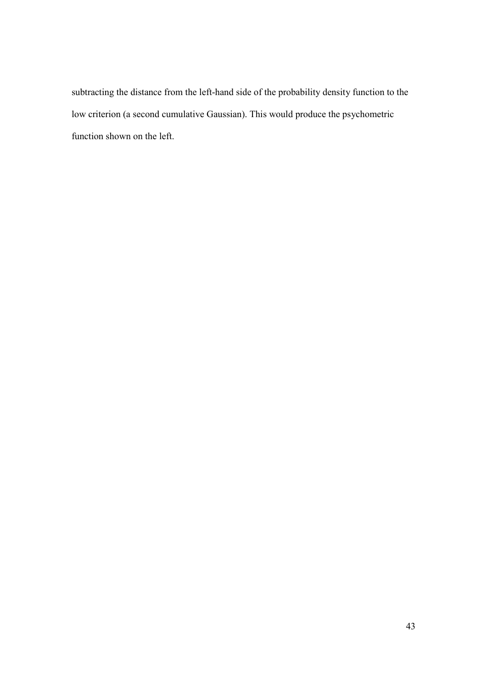subtracting the distance from the left-hand side of the probability density function to the low criterion (a second cumulative Gaussian). This would produce the psychometric function shown on the left.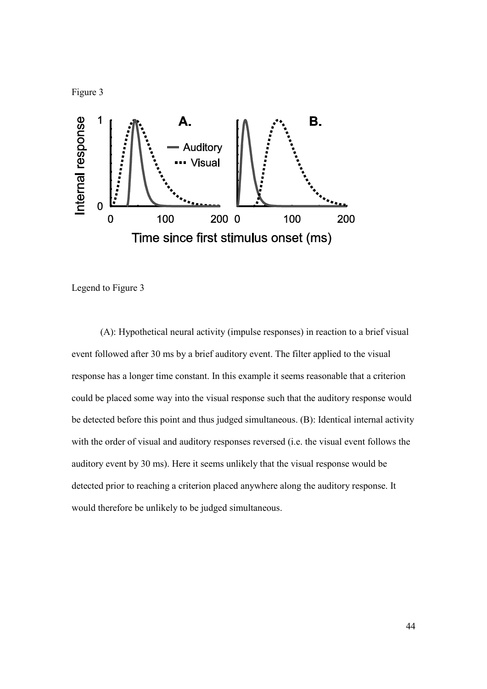



Legend to Figure 3

(A): Hypothetical neural activity (impulse responses) in reaction to a brief visual event followed after 30 ms by a brief auditory event. The filter applied to the visual response has a longer time constant. In this example it seems reasonable that a criterion could be placed some way into the visual response such that the auditory response would be detected before this point and thus judged simultaneous. (B): Identical internal activity with the order of visual and auditory responses reversed (i.e. the visual event follows the auditory event by 30 ms). Here it seems unlikely that the visual response would be detected prior to reaching a criterion placed anywhere along the auditory response. It would therefore be unlikely to be judged simultaneous.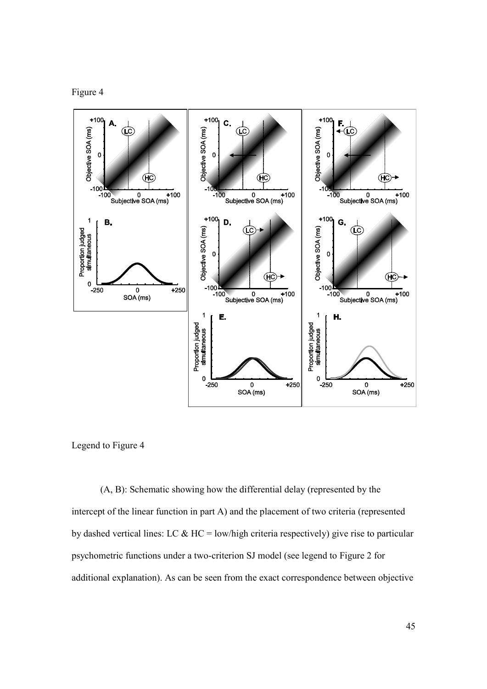



Legend to Figure 4

(A, B): Schematic showing how the differential delay (represented by the intercept of the linear function in part A) and the placement of two criteria (represented by dashed vertical lines: LC  $&$  HC = low/high criteria respectively) give rise to particular psychometric functions under a two-criterion SJ model (see legend to Figure 2 for additional explanation). As can be seen from the exact correspondence between objective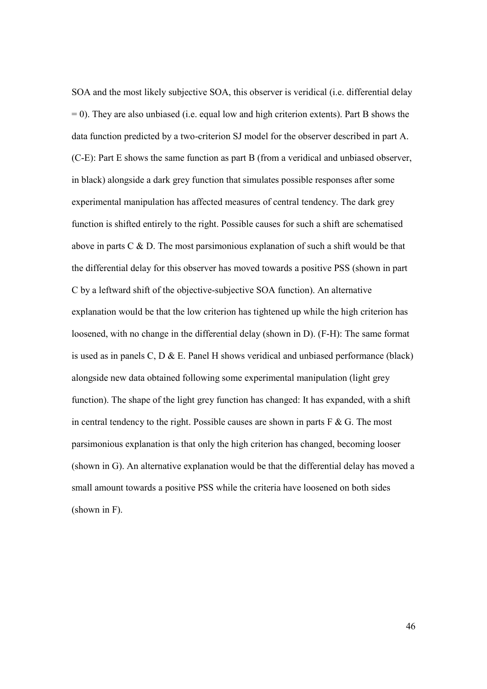SOA and the most likely subjective SOA, this observer is veridical (i.e. differential delay = 0). They are also unbiased (i.e. equal low and high criterion extents). Part B shows the data function predicted by a two-criterion SJ model for the observer described in part A. (C-E): Part E shows the same function as part B (from a veridical and unbiased observer, in black) alongside a dark grey function that simulates possible responses after some experimental manipulation has affected measures of central tendency. The dark grey function is shifted entirely to the right. Possible causes for such a shift are schematised above in parts C & D. The most parsimonious explanation of such a shift would be that the differential delay for this observer has moved towards a positive PSS (shown in part C by a leftward shift of the objective-subjective SOA function). An alternative explanation would be that the low criterion has tightened up while the high criterion has loosened, with no change in the differential delay (shown in D). (F-H): The same format is used as in panels C, D  $\&$  E. Panel H shows veridical and unbiased performance (black) alongside new data obtained following some experimental manipulation (light grey function). The shape of the light grey function has changed: It has expanded, with a shift in central tendency to the right. Possible causes are shown in parts  $F \& G$ . The most parsimonious explanation is that only the high criterion has changed, becoming looser (shown in G). An alternative explanation would be that the differential delay has moved a small amount towards a positive PSS while the criteria have loosened on both sides (shown in F).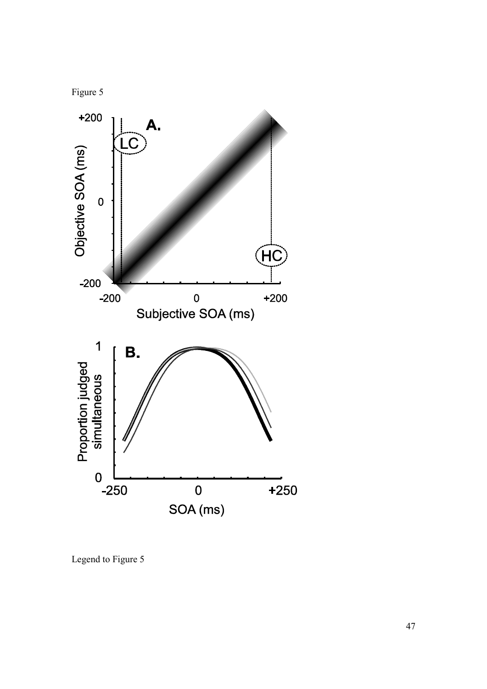



Legend to Figure 5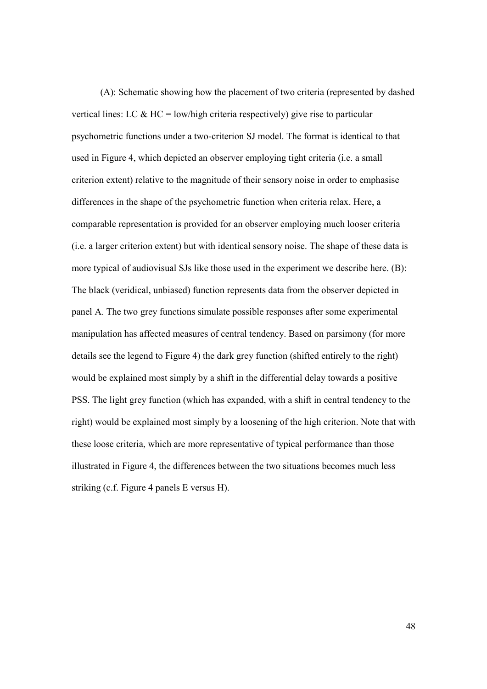(A): Schematic showing how the placement of two criteria (represented by dashed vertical lines: LC  $&$  HC = low/high criteria respectively) give rise to particular psychometric functions under a two-criterion SJ model. The format is identical to that used in Figure 4, which depicted an observer employing tight criteria (i.e. a small criterion extent) relative to the magnitude of their sensory noise in order to emphasise differences in the shape of the psychometric function when criteria relax. Here, a comparable representation is provided for an observer employing much looser criteria (i.e. a larger criterion extent) but with identical sensory noise. The shape of these data is more typical of audiovisual SJs like those used in the experiment we describe here. (B): The black (veridical, unbiased) function represents data from the observer depicted in panel A. The two grey functions simulate possible responses after some experimental manipulation has affected measures of central tendency. Based on parsimony (for more details see the legend to Figure 4) the dark grey function (shifted entirely to the right) would be explained most simply by a shift in the differential delay towards a positive PSS. The light grey function (which has expanded, with a shift in central tendency to the right) would be explained most simply by a loosening of the high criterion. Note that with these loose criteria, which are more representative of typical performance than those illustrated in Figure 4, the differences between the two situations becomes much less striking (c.f. Figure 4 panels E versus H).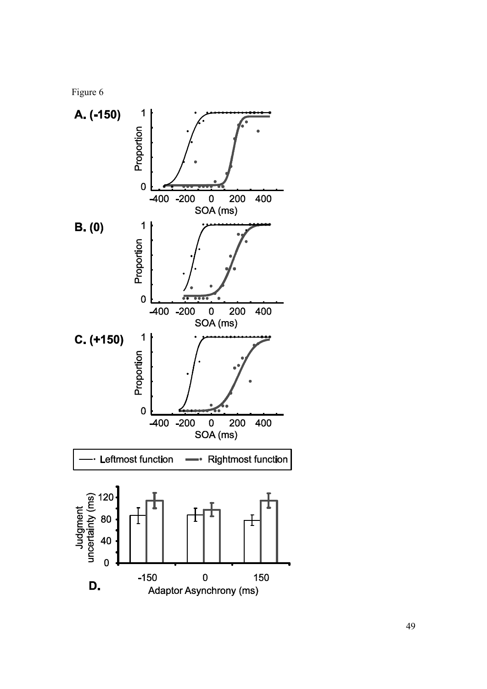Figure 6

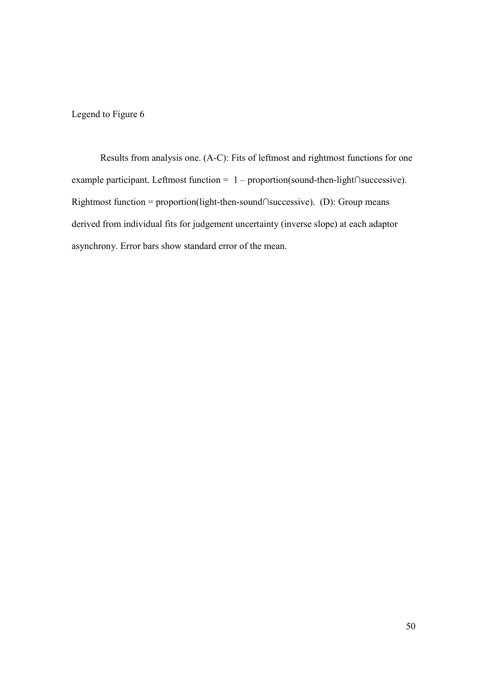Legend to Figure 6

 Results from analysis one. (A-C): Fits of leftmost and rightmost functions for one example participant. Leftmost function = 1 – proportion(sound-then-light∩successive). Rightmost function = proportion(light-then-sound∩successive). (D): Group means derived from individual fits for judgement uncertainty (inverse slope) at each adaptor asynchrony. Error bars show standard error of the mean.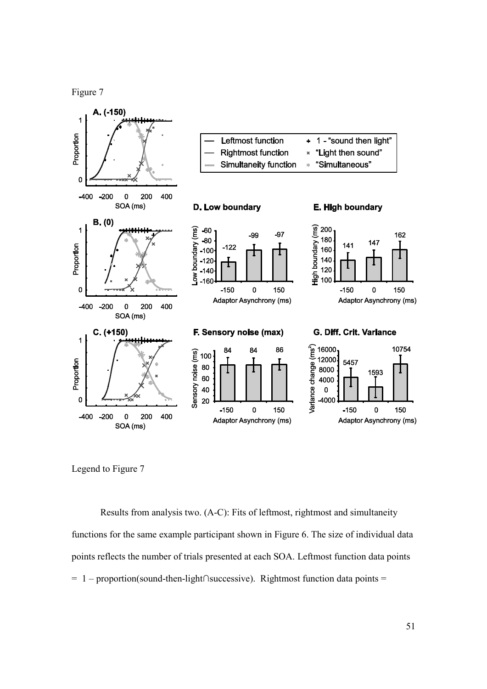



Legend to Figure 7

 Results from analysis two. (A-C): Fits of leftmost, rightmost and simultaneity functions for the same example participant shown in Figure 6. The size of individual data points reflects the number of trials presented at each SOA. Leftmost function data points = 1 – proportion(sound-then-light∩successive). Rightmost function data points =